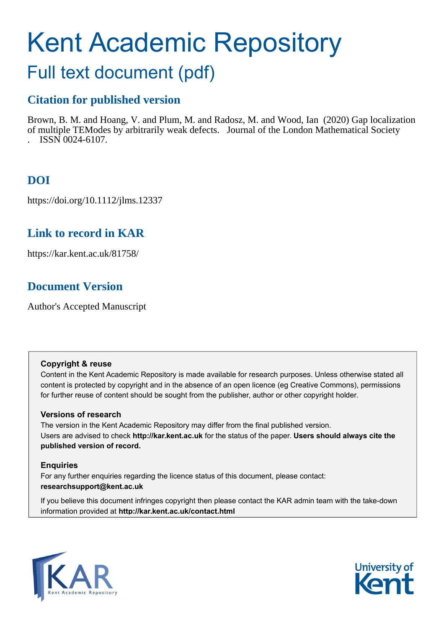# Kent Academic Repository

## Full text document (pdf)

## **Citation for published version**

Brown, B. M. and Hoang, V. and Plum, M. and Radosz, M. and Wood, Ian (2020) Gap localization of multiple TE Modes by arbitrarily weak defects. Journal of the London Mathematical Society . ISSN 0024-6107.

## **DOI**

https://doi.org/10.1112/jlms.12337

## **Link to record in KAR**

https://kar.kent.ac.uk/81758/

## **Document Version**

Author's Accepted Manuscript

#### **Copyright & reuse**

Content in the Kent Academic Repository is made available for research purposes. Unless otherwise stated all content is protected by copyright and in the absence of an open licence (eg Creative Commons), permissions for further reuse of content should be sought from the publisher, author or other copyright holder.

#### **Versions of research**

The version in the Kent Academic Repository may differ from the final published version. Users are advised to check **http://kar.kent.ac.uk** for the status of the paper. **Users should always cite the published version of record.**

#### **Enquiries**

For any further enquiries regarding the licence status of this document, please contact: **researchsupport@kent.ac.uk**

If you believe this document infringes copyright then please contact the KAR admin team with the take-down information provided at **http://kar.kent.ac.uk/contact.html**



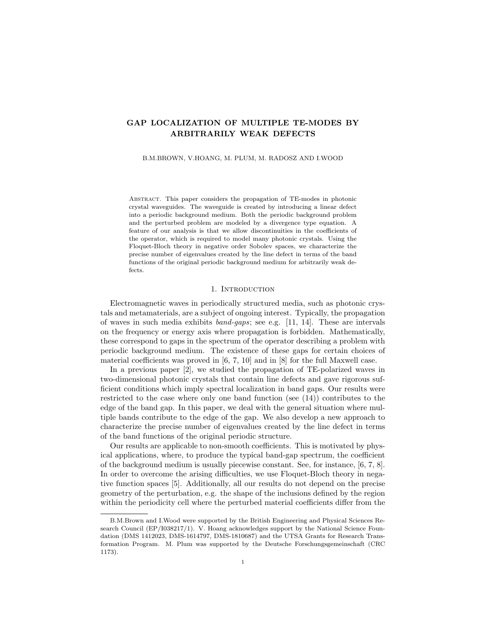#### GAP LOCALIZATION OF MULTIPLE TE-MODES BY ARBITRARILY WEAK DEFECTS

B.M.BROWN, V.HOANG, M. PLUM, M. RADOSZ AND I.WOOD

Abstract. This paper considers the propagation of TE-modes in photonic crystal waveguides. The waveguide is created by introducing a linear defect into a periodic background medium. Both the periodic background problem and the perturbed problem are modeled by a divergence type equation. A feature of our analysis is that we allow discontinuities in the coefficients of the operator, which is required to model many photonic crystals. Using the Floquet-Bloch theory in negative order Sobolev spaces, we characterize the precise number of eigenvalues created by the line defect in terms of the band functions of the original periodic background medium for arbitrarily weak defects.

#### 1. INTRODUCTION

Electromagnetic waves in periodically structured media, such as photonic crystals and metamaterials, are a subject of ongoing interest. Typically, the propagation of waves in such media exhibits band-gaps; see e.g. [11, 14]. These are intervals on the frequency or energy axis where propagation is forbidden. Mathematically, these correspond to gaps in the spectrum of the operator describing a problem with periodic background medium. The existence of these gaps for certain choices of material coefficients was proved in [6, 7, 10] and in [8] for the full Maxwell case.

In a previous paper [2], we studied the propagation of TE-polarized waves in two-dimensional photonic crystals that contain line defects and gave rigorous sufficient conditions which imply spectral localization in band gaps. Our results were restricted to the case where only one band function (see (14)) contributes to the edge of the band gap. In this paper, we deal with the general situation where multiple bands contribute to the edge of the gap. We also develop a new approach to characterize the precise number of eigenvalues created by the line defect in terms of the band functions of the original periodic structure.

Our results are applicable to non-smooth coefficients. This is motivated by physical applications, where, to produce the typical band-gap spectrum, the coefficient of the background medium is usually piecewise constant. See, for instance, [6, 7, 8]. In order to overcome the arising difficulties, we use Floquet-Bloch theory in negative function spaces [5]. Additionally, all our results do not depend on the precise geometry of the perturbation, e.g. the shape of the inclusions defined by the region within the periodicity cell where the perturbed material coefficients differ from the

B.M.Brown and I.Wood were supported by the British Engineering and Physical Sciences Research Council (EP/I038217/1). V. Hoang acknowledges support by the National Science Foundation (DMS 1412023, DMS-1614797, DMS-1810687) and the UTSA Grants for Research Transformation Program. M. Plum was supported by the Deutsche Forschungsgemeinschaft (CRC 1173).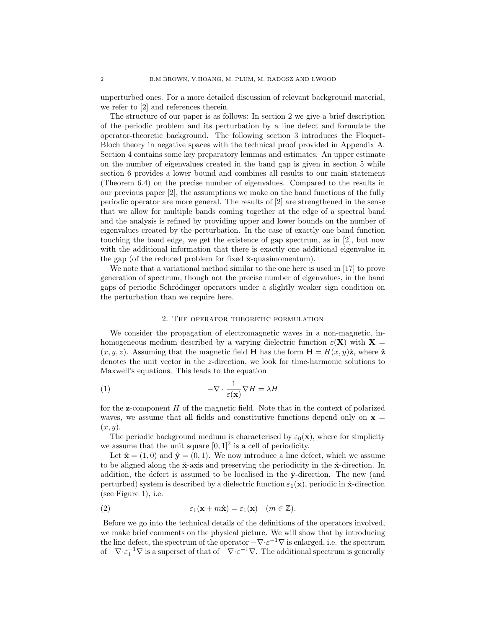unperturbed ones. For a more detailed discussion of relevant background material, we refer to [2] and references therein.

The structure of our paper is as follows: In section 2 we give a brief description of the periodic problem and its perturbation by a line defect and formulate the operator-theoretic background. The following section 3 introduces the Floquet-Bloch theory in negative spaces with the technical proof provided in Appendix A. Section 4 contains some key preparatory lemmas and estimates. An upper estimate on the number of eigenvalues created in the band gap is given in section 5 while section 6 provides a lower bound and combines all results to our main statement (Theorem 6.4) on the precise number of eigenvalues. Compared to the results in our previous paper [2], the assumptions we make on the band functions of the fully periodic operator are more general. The results of [2] are strengthened in the sense that we allow for multiple bands coming together at the edge of a spectral band and the analysis is refined by providing upper and lower bounds on the number of eigenvalues created by the perturbation. In the case of exactly one band function touching the band edge, we get the existence of gap spectrum, as in [2], but now with the additional information that there is exactly one additional eigenvalue in the gap (of the reduced problem for fixed  $\hat{\mathbf{x}}$ -quasimomentum).

We note that a variational method similar to the one here is used in [17] to prove generation of spectrum, though not the precise number of eigenvalues, in the band gaps of periodic Schrödinger operators under a slightly weaker sign condition on the perturbation than we require here.

#### 2. The operator theoretic formulation

We consider the propagation of electromagnetic waves in a non-magnetic, inhomogeneous medium described by a varying dielectric function  $\varepsilon(\mathbf{X})$  with  $\mathbf{X} =$  $(x, y, z)$ . Assuming that the magnetic field **H** has the form  $\mathbf{H} = H(x, y)\hat{\mathbf{z}}$ , where  $\hat{\mathbf{z}}$ denotes the unit vector in the z-direction, we look for time-harmonic solutions to Maxwell's equations. This leads to the equation

(1) 
$$
-\nabla \cdot \frac{1}{\varepsilon(\mathbf{x})} \nabla H = \lambda H
$$

for the z-component H of the magnetic field. Note that in the context of polarized waves, we assume that all fields and constitutive functions depend only on  $x =$  $(x, y)$ .

The periodic background medium is characterised by  $\varepsilon_0(\mathbf{x})$ , where for simplicity we assume that the unit square  $[0, 1]^2$  is a cell of periodicity.

Let  $\hat{\mathbf{x}} = (1,0)$  and  $\hat{\mathbf{y}} = (0,1)$ . We now introduce a line defect, which we assume to be aligned along the  $\hat{\mathbf{x}}$ -axis and preserving the periodicity in the  $\hat{\mathbf{x}}$ -direction. In addition, the defect is assumed to be localised in the  $\hat{y}$ -direction. The new (and perturbed) system is described by a dielectric function  $\varepsilon_1(\mathbf{x})$ , periodic in  $\hat{\mathbf{x}}$ -direction (see Figure 1), i.e.

(2) 
$$
\varepsilon_1(\mathbf{x} + m\hat{\mathbf{x}}) = \varepsilon_1(\mathbf{x}) \quad (m \in \mathbb{Z}).
$$

Before we go into the technical details of the definitions of the operators involved, we make brief comments on the physical picture. We will show that by introducing the line defect, the spectrum of the operator  $-\nabla \cdot \varepsilon^{-1} \nabla$  is enlarged, i.e. the spectrum of  $-\nabla \cdot \varepsilon_1^{-1} \nabla$  is a superset of that of  $-\nabla \cdot \varepsilon^{-1} \nabla$ . The additional spectrum is generally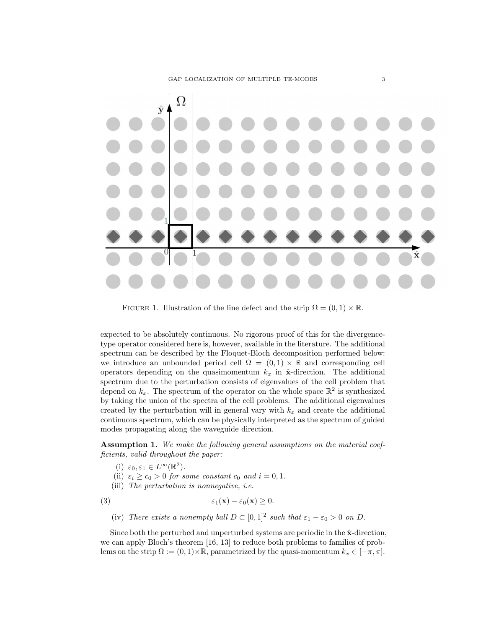

FIGURE 1. Illustration of the line defect and the strip  $\Omega = (0, 1) \times \mathbb{R}$ .

expected to be absolutely continuous. No rigorous proof of this for the divergencetype operator considered here is, however, available in the literature. The additional spectrum can be described by the Floquet-Bloch decomposition performed below: we introduce an unbounded period cell  $\Omega = (0,1) \times \mathbb{R}$  and corresponding cell operators depending on the quasimomentum  $k_x$  in  $\hat{\mathbf{x}}$ -direction. The additional spectrum due to the perturbation consists of eigenvalues of the cell problem that depend on  $k_x$ . The spectrum of the operator on the whole space  $\mathbb{R}^2$  is synthesized by taking the union of the spectra of the cell problems. The additional eigenvalues created by the perturbation will in general vary with  $k_x$  and create the additional continuous spectrum, which can be physically interpreted as the spectrum of guided modes propagating along the waveguide direction.

Assumption 1. We make the following general assumptions on the material coefficients, valid throughout the paper:

- (i)  $\varepsilon_0, \varepsilon_1 \in L^{\infty}(\mathbb{R}^2)$ .
- (ii)  $\varepsilon_i \geq c_0 > 0$  for some constant  $c_0$  and  $i = 0, 1$ .
- (iii) The perturbation is nonnegative, i.e.

(3) 
$$
\varepsilon_1(\mathbf{x}) - \varepsilon_0(\mathbf{x}) \geq 0.
$$

(iv) There exists a nonempty ball  $D \subset [0,1]^2$  such that  $\varepsilon_1 - \varepsilon_0 > 0$  on D.

Since both the perturbed and unperturbed systems are periodic in the  $\hat{x}$ -direction, we can apply Bloch's theorem [16, 13] to reduce both problems to families of problems on the strip  $\Omega := (0, 1) \times \mathbb{R}$ , parametrized by the quasi-momentum  $k_x \in [-\pi, \pi]$ .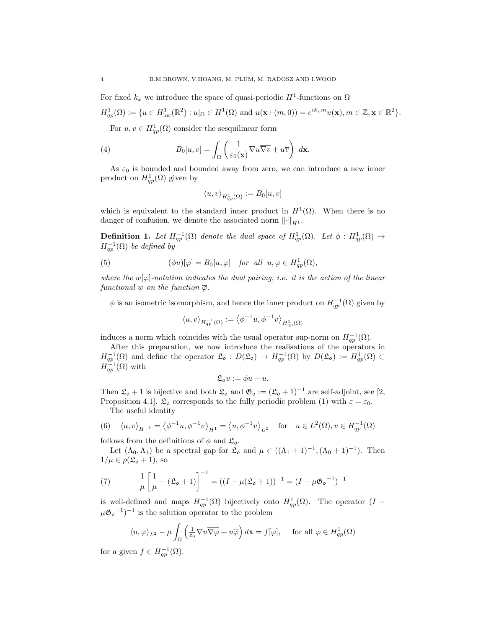For fixed  $k_x$  we introduce the space of quasi-periodic  $H^1$ -functions on  $\Omega$ 

$$
H_{qp}^1(\Omega) := \{ u \in H_{\text{loc}}^1(\mathbb{R}^2) : u|_{\Omega} \in H^1(\Omega) \text{ and } u(\mathbf{x}+(m,0)) = e^{ik_x m} u(\mathbf{x}), m \in \mathbb{Z}, \mathbf{x} \in \mathbb{R}^2 \}.
$$

For  $u, v \in H_{qp}^1(\Omega)$  consider the sesquilinear form

(4) 
$$
B_0[u, v] = \int_{\Omega} \left( \frac{1}{\varepsilon_0(\mathbf{x})} \nabla u \overline{\nabla v} + u \overline{v} \right) d\mathbf{x}.
$$

As  $\varepsilon_0$  is bounded and bounded away from zero, we can introduce a new inner product on  $H_{qp}^{1}(\Omega)$  given by

$$
\langle u, v \rangle_{H^1_{qp}(\Omega)} := B_0[u, v]
$$

which is equivalent to the standard inner product in  $H^1(\Omega)$ . When there is no danger of confusion, we denote the associated norm  $\lVert \cdot \rVert_{H^1}$ .

**Definition 1.** Let  $H_{qp}^{-1}(\Omega)$  denote the dual space of  $H_{qp}^{1}(\Omega)$ . Let  $\phi: H_{qp}^{1}(\Omega) \to$  $H^{-1}_{qp}(\Omega)$  be defined by

(5) 
$$
(\phi u)[\varphi] = B_0[u, \varphi] \text{ for all } u, \varphi \in H_{qp}^1(\Omega),
$$

where the  $w[\varphi]$ -notation indicates the dual pairing, i.e. it is the action of the linear functional w on the function  $\overline{\varphi}$ .

 $\phi$  is an isometric isomorphism, and hence the inner product on  $H^{-1}_{qp}(\Omega)$  given by

$$
\langle u, v \rangle_{H^{-1}_{qp}(\Omega)} := \big\langle \phi^{-1}u, \phi^{-1}v \big\rangle_{H^1_{qp}(\Omega)}
$$

induces a norm which coincides with the usual operator sup-norm on  $H_{qp}^{-1}(\Omega)$ .

After this preparation, we now introduce the realisations of the operators in  $H_{qp}^{-1}(\Omega)$  and define the operator  $\mathfrak{L}_{\mathfrak{0}} : D(\mathfrak{L}_{\mathfrak{0}}) \to H_{qp}^{-1}(\Omega)$  by  $D(\mathfrak{L}_{\mathfrak{0}}) := H_{qp}^{1}(\Omega) \subset$  $H^{-1}_{qp}(\Omega)$  with

$$
\mathfrak{L}_{\mathfrak{0}}u:=\phi u-u.
$$

Then  $\mathfrak{L}_{\mathfrak{0}} + 1$  is bijective and both  $\mathfrak{L}_{\mathfrak{0}}$  and  $\mathfrak{G}_{\mathfrak{0}} := (\mathfrak{L}_{\mathfrak{0}} + 1)^{-1}$  are self-adjoint, see [2, Proposition 4.1].  $\mathfrak{L}_{\mathfrak{0}}$  corresponds to the fully periodic problem (1) with  $\varepsilon = \varepsilon_0$ .

The useful identity

(6) 
$$
\langle u, v \rangle_{H^{-1}} = \langle \phi^{-1}u, \phi^{-1}v \rangle_{H^1} = \langle u, \phi^{-1}v \rangle_{L^2}
$$
 for  $u \in L^2(\Omega), v \in H_{qp}^{-1}(\Omega)$ 

follows from the definitions of  $\phi$  and  $\mathfrak{L}_{\mathfrak{0}}$ .

Let  $(\Lambda_0, \Lambda_1)$  be a spectral gap for  $\mathfrak{L}_0$  and  $\mu \in ((\Lambda_1 + 1)^{-1}, (\Lambda_0 + 1)^{-1})$ . Then  $1/\mu \in \rho(\mathfrak{L}_{\mathfrak{0}} + 1)$ , so

(7) 
$$
\frac{1}{\mu} \left[ \frac{1}{\mu} - (\mathfrak{L}_{o} + 1) \right]^{-1} = ((I - \mu(\mathfrak{L}_{o} + 1))^{-1}) = (I - \mu\mathfrak{G}_{o}^{-1})^{-1}
$$

is well-defined and maps  $H_{qp}^{-1}(\Omega)$  bijectively onto  $H_{qp}^{1}(\Omega)$ . The operator  $(I \mu\mathfrak{G}_{\mathfrak{d}}^{-1}$ <sup>-1</sup> is the solution operator to the problem

$$
\langle u, \varphi \rangle_{L^2} - \mu \int_{\Omega} \left( \frac{1}{\varepsilon_0} \nabla u \overline{\nabla \varphi} + u \overline{\varphi} \right) d\mathbf{x} = f[\varphi], \quad \text{ for all } \varphi \in H^1_{qp}(\Omega)
$$

for a given  $f \in H_{qp}^{-1}(\Omega)$ .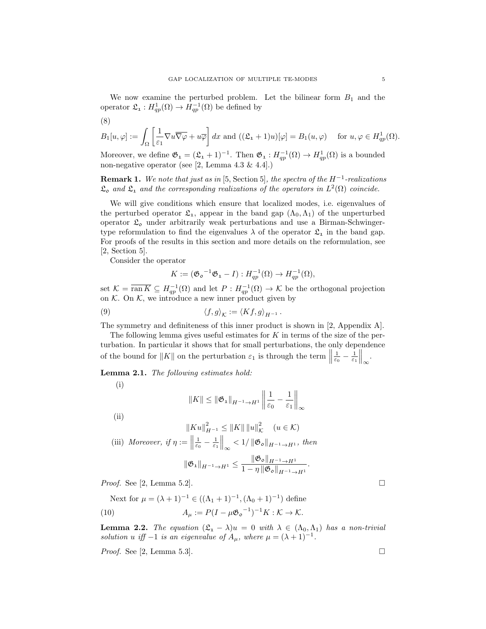We now examine the perturbed problem. Let the bilinear form  $B_1$  and the operator  $\mathfrak{L}_{1}: H_{qp}^{1}(\Omega) \to H_{qp}^{-1}(\Omega)$  be defined by

$$
B_1[u,\varphi] := \int_{\Omega} \left[ \frac{1}{\varepsilon_1} \nabla u \overline{\nabla \varphi} + u \overline{\varphi} \right] dx \text{ and } \left( (\mathfrak{L}_1 + 1)u \right)[\varphi] = B_1(u,\varphi) \quad \text{ for } u, \varphi \in H^1_{qp}(\Omega).
$$

Moreover, we define  $\mathfrak{G}_1 = (\mathfrak{L}_1 + 1)^{-1}$ . Then  $\mathfrak{G}_1 : H_{qp}^{-1}(\Omega) \to H_{qp}^1(\Omega)$  is a bounded non-negative operator (see [2, Lemma 4.3 & 4.4].)

**Remark 1.** We note that just as in [5, Section 5], the spectra of the  $H^{-1}$ -realizations  $\mathfrak{L}_{o}$  and  $\mathfrak{L}_{1}$  and the corresponding realizations of the operators in  $L^{2}(\Omega)$  coincide.

We will give conditions which ensure that localized modes, i.e. eigenvalues of the perturbed operator  $\mathfrak{L}_1$ , appear in the band gap  $(\Lambda_0, \Lambda_1)$  of the unperturbed operator  $\mathfrak{L}_{o}$  under arbitrarily weak perturbations and use a Birman-Schwingertype reformulation to find the eigenvalues  $\lambda$  of the operator  $\mathfrak{L}_1$  in the band gap. For proofs of the results in this section and more details on the reformulation, see [2, Section 5].

Consider the operator

(8)

$$
K := (\mathfrak{G}_{\mathfrak{d}}^{-1} \mathfrak{G}_{1} - I) : H_{qp}^{-1}(\Omega) \to H_{qp}^{-1}(\Omega),
$$

set  $\mathcal{K} = \overline{\text{ran } K} \subseteq H_{qp}^{-1}(\Omega)$  and let  $P: H_{qp}^{-1}(\Omega) \to \mathcal{K}$  be the orthogonal projection on  $\mathcal K$ . On  $\mathcal K$ , we introduce a new inner product given by

(9) 
$$
\langle f, g \rangle_{\mathcal{K}} := \langle Kf, g \rangle_{H^{-1}}.
$$

The symmetry and definiteness of this inner product is shown in [2, Appendix A].

The following lemma gives useful estimates for  $K$  in terms of the size of the perturbation. In particular it shows that for small perturbations, the only dependence of the bound for  $||K||$  on the perturbation  $\varepsilon_1$  is through the term  $||$  $\frac{1}{\varepsilon_0}-\frac{1}{\varepsilon_1}\Big\|_{\infty}.$ 

Lemma 2.1. The following estimates hold:

(i)

$$
||K|| \le ||\mathfrak{G}_1||_{H^{-1} \to H^1} \left||\frac{1}{\varepsilon_0} - \frac{1}{\varepsilon_1}\right||_{\infty}
$$

 $(ii)$ 

$$
||Ku||_{H^{-1}}^2 \leq ||K|| \, ||u||_{K}^2 \quad (u \in K)
$$

(iii) Moreover, if  $\eta :=$  $\frac{1}{\varepsilon_0} - \frac{1}{\varepsilon_1} \Big\|_{\infty} < 1 / \|\mathfrak{G}_{\mathfrak{d}}\|_{H^{-1} \to H^1}, \text{ then}$ 

$$
\|\mathfrak{G}_{1}\|_{H^{-1}\to H^{1}}\leq \frac{\|\mathfrak{G}_{\mathfrak{d}}\|_{H^{-1}\to H^{1}}}{1-\eta\|\mathfrak{G}_{\mathfrak{d}}\|_{H^{-1}\to H^{1}}}.
$$

*Proof.* See [2, Lemma 5.2].

Next for  $\mu = (\lambda + 1)^{-1} \in ((\Lambda_1 + 1)^{-1}, (\Lambda_0 + 1)^{-1})$  define (10)  $A_{\mu} := P(I - \mu \mathfrak{G}_{\mathfrak{0}}^{-1})^{-1} K : \mathcal{K} \to \mathcal{K}.$ 

**Lemma 2.2.** The equation  $(\mathfrak{L}_1 - \lambda)u = 0$  with  $\lambda \in (\Lambda_0, \Lambda_1)$  has a non-trivial solution u iff  $-1$  is an eigenvalue of  $A_{\mu}$ , where  $\mu = (\lambda + 1)^{-1}$ .

*Proof.* See [2, Lemma 5.3].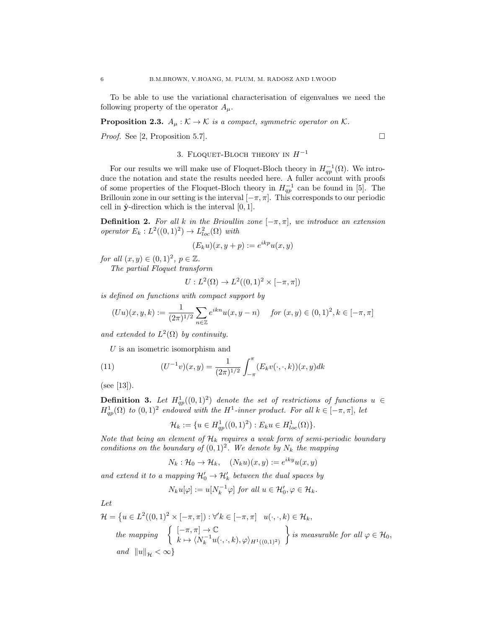To be able to use the variational characterisation of eigenvalues we need the following property of the operator  $A_\mu$ .

**Proposition 2.3.**  $A_{\mu}: \mathcal{K} \to \mathcal{K}$  is a compact, symmetric operator on  $\mathcal{K}$ .

*Proof.* See [2, Proposition 5.7].

3. FLOQUET-BLOCH THEORY IN  $H^{-1}$ 

For our results we will make use of Floquet-Bloch theory in  $H_{qp}^{-1}(\Omega)$ . We introduce the notation and state the results needed here. A fuller account with proofs of some properties of the Floquet-Bloch theory in  $H_{qp}^{-1}$  can be found in [5]. The Brillouin zone in our setting is the interval  $[-\pi, \pi]$ . This corresponds to our periodic cell in  $\hat{y}$ -direction which is the interval [0, 1].

**Definition 2.** For all k in the Brioullin zone  $[-\pi, \pi]$ , we introduce an extension operator  $E_k : L^2((0,1)^2) \to L^2_{loc}(\Omega)$  with

$$
(E_k u)(x, y + p) := e^{ikp} u(x, y)
$$

for all  $(x, y) \in (0, 1)^2$ ,  $p \in \mathbb{Z}$ .

The partial Floquet transform

$$
U: L^{2}(\Omega) \to L^{2}((0,1)^{2} \times [-\pi,\pi])
$$

is defined on functions with compact support by

$$
(Uu)(x,y,k) := \frac{1}{(2\pi)^{1/2}} \sum_{n \in \mathbb{Z}} e^{ikn} u(x, y - n) \quad \text{for } (x, y) \in (0, 1)^2, k \in [-\pi, \pi]
$$

and extended to  $L^2(\Omega)$  by continuity.

 $U$  is an isometric isomorphism and

(11) 
$$
(U^{-1}v)(x,y) = \frac{1}{(2\pi)^{1/2}} \int_{-\pi}^{\pi} (E_k v(\cdot,\cdot,k))(x,y)dk
$$

 $(see [13]).$ 

**Definition 3.** Let  $H_{qp}^{1}((0,1)^{2})$  denote the set of restrictions of functions  $u \in$  $H_{qp}^{1}(\Omega)$  to  $(0,1)^{2}$  endowed with the H<sup>1</sup>-inner product. For all  $k \in [-\pi,\pi]$ , let

$$
\mathcal{H}_k := \{ u \in H_{qp}^1((0,1)^2) : E_k u \in H_{loc}^1(\Omega) \}.
$$

Note that being an element of  $\mathcal{H}_k$  requires a weak form of semi-periodic boundary conditions on the boundary of  $(0,1)^2$ . We denote by  $N_k$  the mapping

 $N_k: \mathcal{H}_0 \to \mathcal{H}_k, \quad (N_k u)(x, y) := e^{iky} u(x, y)$ 

and extend it to a mapping  $\mathcal{H}'_0 \to \mathcal{H}'_k$  between the dual spaces by

$$
N_k u[\varphi] := u[N_k^{-1} \varphi] \text{ for all } u \in \mathcal{H}'_0, \varphi \in \mathcal{H}_k.
$$

Let

$$
\mathcal{H} = \left\{ u \in L^2((0,1)^2 \times [-\pi,\pi]) : \forall' k \in [-\pi,\pi] \mid u(\cdot,\cdot,k) \in \mathcal{H}_k, \right\}
$$
  
*the mapping* 
$$
\left\{ \begin{array}{l} [-\pi,\pi] \to \mathbb{C} \\ k \mapsto \langle N_k^{-1}u(\cdot,\cdot,k), \varphi \rangle_{H^1((0,1)^2)} \end{array} \right\} \text{ is measurable for all } \varphi \in \mathcal{H}_0,
$$
  
*and*  $||u||_{\mathcal{H}} < \infty \right\}$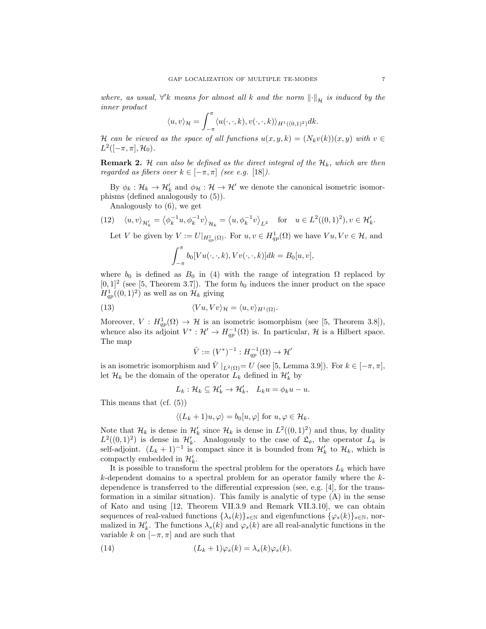where, as usual,  $\forall' k$  means for almost all k and the norm  $\left\| \cdot \right\|_{\mathcal{H}}$  is induced by the inner product

$$
\langle u, v \rangle_{\mathcal{H}} = \int_{-\pi}^{\pi} \langle u(\cdot, \cdot, k), v(\cdot, \cdot, k) \rangle_{H^1((0,1)^2)} dk.
$$

H can be viewed as the space of all functions  $u(x, y, k) = (N_k v(k))(x, y)$  with  $v \in$  $L^2([-\pi,\pi],\mathcal{H}_0).$ 

**Remark 2.** H can also be defined as the direct integral of the  $\mathcal{H}_k$ , which are then regarded as fibers over  $k \in [-\pi, \pi]$  (see e.g. [18]).

By  $\phi_k : \mathcal{H}_k \to \mathcal{H}'_k$  and  $\phi_{\mathcal{H}} : \mathcal{H} \to \mathcal{H}'$  we denote the canonical isometric isomorphisms (defined analogously to (5)).

Analogously to (6), we get

(12) 
$$
\langle u, v \rangle_{\mathcal{H}'_k} = \langle \phi_k^{-1} u, \phi_k^{-1} v \rangle_{\mathcal{H}_k} = \langle u, \phi_k^{-1} v \rangle_{L^2}
$$
 for  $u \in L^2((0, 1)^2), v \in \mathcal{H}'_k$ .

Let V be given by  $V := U|_{H_{qp}^1(\Omega)}$ . For  $u, v \in H_{qp}^1(\Omega)$  we have  $Vu, Vv \in \mathcal{H}$ , and

$$
\int_{-\pi}^{\pi} b_0[Vu(\cdot,\cdot,k), Vv(\cdot,\cdot,k)]dk = B_0[u,v],
$$

where  $b_0$  is defined as  $B_0$  in (4) with the range of integration  $\Omega$  replaced by  $[0,1]^2$  (see [5, Theorem 3.7]). The form  $b_0$  induces the inner product on the space  $H_{qp}^1((0,1)^2)$  as well as on  $\mathcal{H}_k$  giving

(13) 
$$
\langle Vu, Vv \rangle_{\mathcal{H}} = \langle u, v \rangle_{H^1(\Omega)}.
$$

Moreover,  $V: H_{qp}^1(\Omega) \to \mathcal{H}$  is an isometric isomorphism (see [5, Theorem 3.8]), whence also its adjoint  $V^* : \mathcal{H}' \to H_{qp}^{-1}(\Omega)$  is. In particular, H is a Hilbert space. The map

$$
\hat{V} := (V^*)^{-1} : H_{qp}^{-1}(\Omega) \to \mathcal{H}'
$$

is an isometric isomorphism and  $\hat{V}|_{L^2(\Omega)}=U$  (see [5, Lemma 3.9]). For  $k \in [-\pi, \pi]$ , let  $\mathcal{H}_k$  be the domain of the operator  $\tilde{L}_k$  defined in  $\mathcal{H}'_k$  by

$$
L_k: \mathcal{H}_k \subseteq \mathcal{H}'_k \to \mathcal{H}'_k, \quad L_k u = \phi_k u - u.
$$

This means that (cf. (5))

$$
\langle (L_k+1)u, \varphi \rangle = b_0[u, \varphi] \text{ for } u, \varphi \in \mathcal{H}_k.
$$

Note that  $\mathcal{H}_k$  is dense in  $\mathcal{H}'_k$  since  $\mathcal{H}_k$  is dense in  $L^2((0,1)^2)$  and thus, by duality  $L^2((0,1)^2)$  is dense in  $\mathcal{H}'_k$ . Analogously to the case of  $\mathfrak{L}_0$ , the operator  $L_k$  is self-adjoint.  $(L_k + 1)^{-1}$  is compact since it is bounded from  $\mathcal{H}'_k$  to  $\mathcal{H}_k$ , which is compactly embedded in  $\mathcal{H}'_k$ .

It is possible to transform the spectral problem for the operators  $L_k$  which have k-dependent domains to a spectral problem for an operator family where the  $k$ dependence is transferred to the differential expression (see, e.g. [4], for the transformation in a similar situation). This family is analytic of type (A) in the sense of Kato and using [12, Theorem VII.3.9 and Remark VII.3.10], we can obtain sequences of real-valued functions  $\{\lambda_s(k)\}_{s\in\mathbb{N}}$  and eigenfunctions  $\{\varphi_s(k)\}_{s\in\mathbb{N}}$ , normalized in  $\mathcal{H}'_k$ . The functions  $\lambda_s(k)$  and  $\varphi_s(k)$  are all real-analytic functions in the variable k on  $[-\pi, \pi]$  and are such that

(14) 
$$
(L_k + 1)\varphi_s(k) = \lambda_s(k)\varphi_s(k).
$$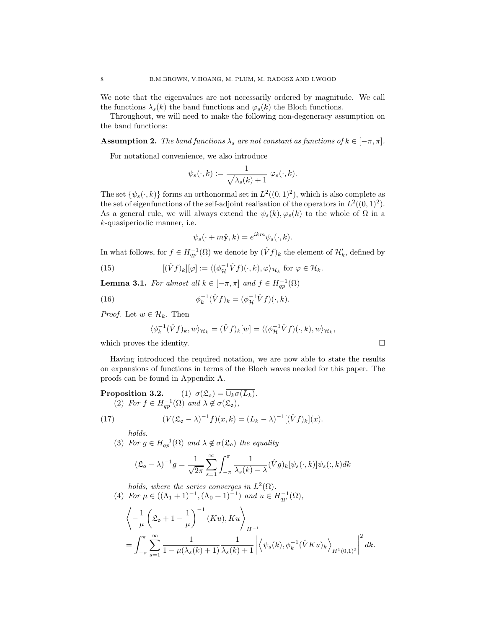We note that the eigenvalues are not necessarily ordered by magnitude. We call the functions  $\lambda_s(k)$  the band functions and  $\varphi_s(k)$  the Bloch functions.

Throughout, we will need to make the following non-degeneracy assumption on the band functions:

**Assumption 2.** The band functions  $\lambda_s$  are not constant as functions of  $k \in [-\pi, \pi]$ .

For notational convenience, we also introduce

$$
\psi_s(\cdot,k):=\frac{1}{\sqrt{\lambda_s(k)+1}}\,\,\varphi_s(\cdot,k).
$$

The set  $\{\psi_s(\cdot,k)\}\)$  forms an orthonormal set in  $L^2((0,1)^2)$ , which is also complete as the set of eigenfunctions of the self-adjoint realisation of the operators in  $L^2((0,1)^2)$ . As a general rule, we will always extend the  $\psi_s(k), \varphi_s(k)$  to the whole of  $\Omega$  in a k-quasiperiodic manner, i.e.

$$
\psi_s(\cdot + m\hat{\mathbf{y}}, k) = e^{ikm}\psi_s(\cdot, k).
$$

In what follows, for  $f \in H^{-1}_{qp}(\Omega)$  we denote by  $(\hat{V}f)_k$  the element of  $\mathcal{H}'_k$ , defined by

(15) 
$$
[(\hat{V}f)_k][\varphi] := \langle (\phi_{\mathcal{H}}^{-1}\hat{V}f)(\cdot,k), \varphi \rangle_{\mathcal{H}_k} \text{ for } \varphi \in \mathcal{H}_k.
$$

**Lemma 3.1.** For almost all  $k \in [-\pi, \pi]$  and  $f \in H_{qp}^{-1}(\Omega)$ 

(16) 
$$
\phi_k^{-1}(\hat{V}f)_k = (\phi_{\mathcal{H}}^{-1}\hat{V}f)(\cdot,k).
$$

*Proof.* Let  $w \in \mathcal{H}_k$ . Then

$$
\langle \phi_k^{-1}(\hat{V}f)_k, w \rangle_{\mathcal{H}_k} = (\hat{V}f)_k[w] = \langle (\phi_{\mathcal{H}}^{-1}\hat{V}f)(\cdot, k), w \rangle_{\mathcal{H}_k},
$$

which proves the identity.  $\Box$ 

Having introduced the required notation, we are now able to state the results on expansions of functions in terms of the Bloch waves needed for this paper. The proofs can be found in Appendix A.

**Proposition 3.2.** (1) 
$$
\sigma(\mathfrak{L}_o) = \overline{\cup_k \sigma(L_k)}
$$
.  
\n(2) For  $f \in H_{qp}^{-1}(\Omega)$  and  $\lambda \notin \sigma(\mathfrak{L}_o)$ ,  
\n(17) 
$$
(V(\mathfrak{L}_o - \lambda)^{-1}f)(x, k) = (L_k - \lambda)^{-1}[(\hat{V}f)_k](x).
$$

$$
f_{\rm{max}}
$$

holds.

(3) For  $g \in H^{-1}_{qp}(\Omega)$  and  $\lambda \notin \sigma(\mathfrak{L}_{\mathfrak{0}})$  the equality

$$
(\mathfrak{L}_{\mathfrak{0}} - \lambda)^{-1} g = \frac{1}{\sqrt{2\pi}} \sum_{s=1}^{\infty} \int_{-\pi}^{\pi} \frac{1}{\lambda_s(k) - \lambda} (\hat{V}g)_k [\psi_s(\cdot, k)] \psi_s(:, k) dk
$$

holds, where the series converges in  $L^2(\Omega)$ .

(4) For 
$$
\mu \in ((\Lambda_1 + 1)^{-1}, (\Lambda_0 + 1)^{-1})
$$
 and  $u \in H_{qp}^{-1}(\Omega)$ ,

$$
\left\langle -\frac{1}{\mu} \left( \mathfrak{L}_{\mathfrak{d}} + 1 - \frac{1}{\mu} \right)^{-1} (K u), Ku \right\rangle_{H^{-1}} \n= \int_{-\pi}^{\pi} \sum_{s=1}^{\infty} \frac{1}{1 - \mu(\lambda_s(k) + 1)} \frac{1}{\lambda_s(k) + 1} \left| \left\langle \psi_s(k), \phi_k^{-1}(\hat{V} K u)_k \right\rangle_{H^1(0,1)^2} \right|^2 dk.
$$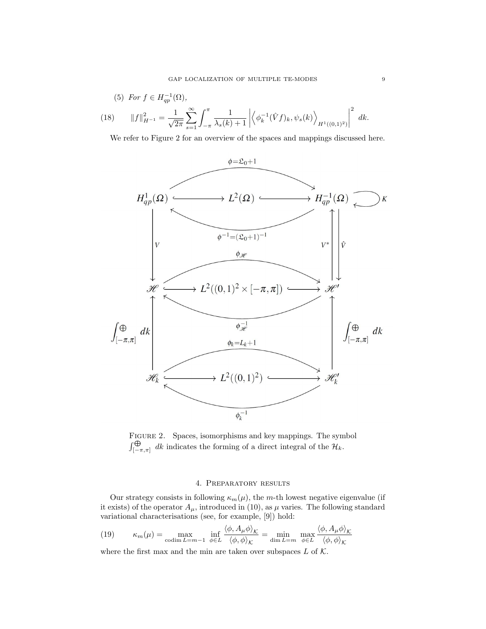(5) For 
$$
f \in H_{qp}^{-1}(\Omega)
$$
,  
\n(18) 
$$
||f||_{H^{-1}}^2 = \frac{1}{\sqrt{2\pi}} \sum_{s=1}^{\infty} \int_{-\pi}^{\pi} \frac{1}{\lambda_s(k) + 1} \left| \left\langle \phi_k^{-1}(\hat{V}f)_k, \psi_s(k) \right\rangle_{H^1((0,1)^2)} \right|^2 dk.
$$

We refer to Figure 2 for an overview of the spaces and mappings discussed here.



Figure 2. Spaces, isomorphisms and key mappings. The symbol  $\int_{[-\pi,\pi]}^{\bigoplus} dk$  indicates the forming of a direct integral of the  $\mathcal{H}_k$ .

#### 4. Preparatory results

Our strategy consists in following  $\kappa_m(\mu)$ , the m-th lowest negative eigenvalue (if it exists) of the operator  $A_{\mu}$ , introduced in (10), as  $\mu$  varies. The following standard variational characterisations (see, for example, [9]) hold:

(19) 
$$
\kappa_m(\mu) = \max_{\text{codim } L = m-1} \inf_{\phi \in L} \frac{\langle \phi, A_\mu \phi \rangle_{\mathcal{K}}}{\langle \phi, \phi \rangle_{\mathcal{K}}} = \min_{\text{dim } L = m} \max_{\phi \in L} \frac{\langle \phi, A_\mu \phi \rangle_{\mathcal{K}}}{\langle \phi, \phi \rangle_{\mathcal{K}}}
$$

where the first max and the min are taken over subspaces  $L$  of  $K$ .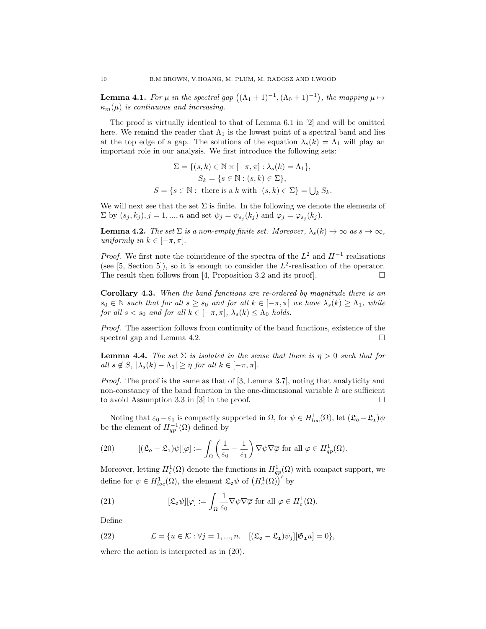**Lemma 4.1.** For  $\mu$  in the spectral gap  $((\Lambda_1 + 1)^{-1}, (\Lambda_0 + 1)^{-1})$ , the mapping  $\mu \mapsto$  $\kappa_m(\mu)$  is continuous and increasing.

The proof is virtually identical to that of Lemma 6.1 in [2] and will be omitted here. We remind the reader that  $\Lambda_1$  is the lowest point of a spectral band and lies at the top edge of a gap. The solutions of the equation  $\lambda_s(k) = \Lambda_1$  will play an important role in our analysis. We first introduce the following sets:

$$
\Sigma = \{(s, k) \in \mathbb{N} \times [-\pi, \pi] : \lambda_s(k) = \Lambda_1\},
$$
  
\n
$$
S_k = \{s \in \mathbb{N} : (s, k) \in \Sigma\},
$$
  
\n
$$
S = \{s \in \mathbb{N} : \text{ there is a } k \text{ with } (s, k) \in \Sigma\} = \bigcup_k S_k.
$$

We will next see that the set  $\Sigma$  is finite. In the following we denote the elements of  $\Sigma$  by  $(s_j, k_j), j = 1, ..., n$  and set  $\psi_j = \psi_{s_j}(k_j)$  and  $\varphi_j = \varphi_{s_j}(k_j)$ .

**Lemma 4.2.** The set  $\Sigma$  is a non-empty finite set. Moreover,  $\lambda_s(k) \to \infty$  as  $s \to \infty$ , uniformly in  $k \in [-\pi, \pi]$ .

*Proof.* We first note the coincidence of the spectra of the  $L^2$  and  $H^{-1}$  realisations (see [5, Section 5]), so it is enough to consider the  $L^2$ -realisation of the operator. The result then follows from [4, Proposition 3.2 and its proof].  $\Box$ 

Corollary 4.3. When the band functions are re-ordered by magnitude there is an  $s_0 \in \mathbb{N}$  such that for all  $s \geq s_0$  and for all  $k \in [-\pi, \pi]$  we have  $\lambda_s(k) \geq \Lambda_1$ , while for all  $s < s_0$  and for all  $k \in [-\pi, \pi]$ ,  $\lambda_s(k) \leq \Lambda_0$  holds.

Proof. The assertion follows from continuity of the band functions, existence of the spectral gap and Lemma 4.2.

**Lemma 4.4.** The set  $\Sigma$  is isolated in the sense that there is  $\eta > 0$  such that for all  $s \notin S$ ,  $|\lambda_s(k) - \Lambda_1| \geq \eta$  for all  $k \in [-\pi, \pi]$ .

Proof. The proof is the same as that of [3, Lemma 3.7], noting that analyticity and non-constancy of the band function in the one-dimensional variable  $k$  are sufficient to avoid Assumption 3.3 in  $|3|$  in the proof.  $\square$ 

Noting that  $\varepsilon_0 - \varepsilon_1$  is compactly supported in  $\Omega$ , for  $\psi \in H^1_{loc}(\Omega)$ , let  $(\mathfrak{L}_{\mathfrak{d}} - \mathfrak{L}_{\mathfrak{d}})\psi$ be the element of  $H_{qp}^{-1}(\Omega)$  defined by

(20) 
$$
[(\mathfrak{L}_{\mathfrak{0}} - \mathfrak{L}_{1})\psi][\varphi] := \int_{\Omega} \left(\frac{1}{\varepsilon_{0}} - \frac{1}{\varepsilon_{1}}\right) \nabla \psi \nabla \overline{\varphi} \text{ for all } \varphi \in H_{qp}^{1}(\Omega).
$$

Moreover, letting  $H_c^1(\Omega)$  denote the functions in  $H_{qp}^1(\Omega)$  with compact support, we define for  $\psi \in H^1_{loc}(\Omega)$ , the element  $\mathfrak{L}_{\mathfrak{d}} \psi$  of  $\left(H^1_c(\Omega)\right)'$  by

(21) 
$$
[\mathfrak{L}_{\mathfrak{0}} \psi][\varphi] := \int_{\Omega} \frac{1}{\varepsilon_0} \nabla \psi \nabla \overline{\varphi} \text{ for all } \varphi \in H_c^1(\Omega).
$$

Define

(22) 
$$
\mathcal{L} = \{u \in \mathcal{K} : \forall j = 1, ..., n. \quad [(\mathfrak{L}_{\mathfrak{d}} - \mathfrak{L}_{\mathfrak{1}})\psi_j][\mathfrak{G}_{\mathfrak{1}}u] = 0\},
$$

where the action is interpreted as in (20).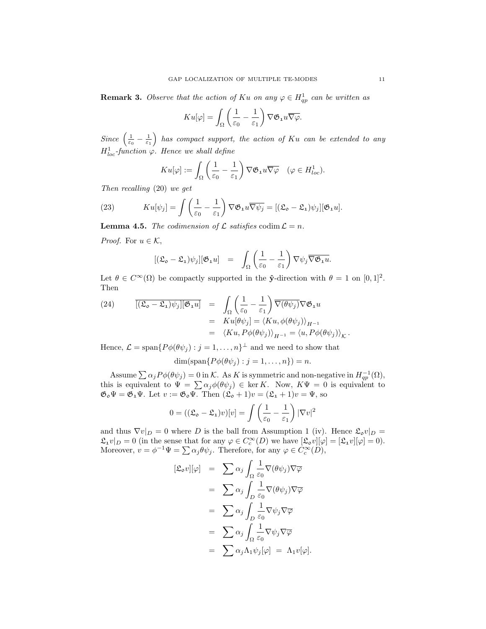**Remark 3.** Observe that the action of Ku on any  $\varphi \in H_{qp}^1$  can be written as

$$
K u[\varphi] = \int_{\Omega} \left( \frac{1}{\varepsilon_0} - \frac{1}{\varepsilon_1} \right) \nabla \mathfrak{G}_1 u \overline{\nabla \varphi}.
$$

Since  $\left(\frac{1}{\varepsilon_0}-\frac{1}{\varepsilon_1}\right)$  has compact support, the action of Ku can be extended to any  $H_{loc}^1$ -function  $\varphi$ . Hence we shall define

$$
K u[\varphi] := \int_{\Omega} \left( \frac{1}{\varepsilon_0} - \frac{1}{\varepsilon_1} \right) \nabla \mathfrak{G}_1 u \overline{\nabla \varphi} \quad (\varphi \in H_{loc}^1).
$$

Then recalling (20) we get

(23) 
$$
K u[\psi_j] = \int \left(\frac{1}{\varepsilon_0} - \frac{1}{\varepsilon_1}\right) \nabla \mathfrak{G}_1 u \overline{\nabla \psi_j} = [(\mathfrak{L}_o - \mathfrak{L}_1)\psi_j][\mathfrak{G}_1 u].
$$

**Lemma 4.5.** The codimension of  $\mathcal L$  satisfies codim  $\mathcal L = n$ .

*Proof.* For  $u \in \mathcal{K}$ ,

$$
[(\mathfrak{L}_{\mathfrak{0}} - \mathfrak{L}_{1})\psi_{j}][\mathfrak{G}_{1}u] = \int_{\Omega} \left(\frac{1}{\varepsilon_{0}} - \frac{1}{\varepsilon_{1}}\right) \nabla \psi_{j} \overline{\nabla \mathfrak{G}_{1}u}.
$$

Let  $\theta \in C^{\infty}(\Omega)$  be compactly supported in the  $\hat{\mathbf{y}}$ -direction with  $\theta = 1$  on  $[0, 1]^2$ . Then

(24) 
$$
\overline{[(\mathfrak{L}_{\mathfrak{0}} - \mathfrak{L}_{1})\psi_{j}][\mathfrak{G}_{1}u]} = \int_{\Omega} \left( \frac{1}{\varepsilon_{0}} - \frac{1}{\varepsilon_{1}} \right) \overline{\nabla(\theta \psi_{j})} \nabla \mathfrak{G}_{1}u
$$

$$
= K u[\theta \psi_{j}] = \langle K u, \phi(\theta \psi_{j}) \rangle_{H^{-1}}
$$

$$
= \langle K u, P\phi(\theta \psi_{j}) \rangle_{H^{-1}} = \langle u, P\phi(\theta \psi_{j}) \rangle_{K}
$$

Hence,  $\mathcal{L} = \text{span}\{P\phi(\theta\psi_j) : j = 1, \dots, n\}^{\perp}$  and we need to show that

$$
\dim(\text{span}\{P\phi(\theta\psi_j):j=1,\ldots,n\})=n.
$$

Assume  $\sum \alpha_j P \phi(\theta \psi_j) = 0$  in K. As K is symmetric and non-negative in  $H^{-1}_{qp}(\Omega)$ , this is equivalent to  $\Psi = \sum \alpha_j \phi(\theta \psi_j) \in \ker K$ . Now,  $K \Psi = 0$  is equivalent to  $\mathfrak{G}_{o}\Psi = \mathfrak{G}_{1}\Psi$ . Let  $v := \mathfrak{G}_{o}\Psi$ . Then  $(\mathfrak{L}_{o} + 1)v = (\mathfrak{L}_{1} + 1)v = \Psi$ , so

$$
0 = ((\mathfrak{L}_{\mathfrak{0}} - \mathfrak{L}_{1})v)[v] = \int \left(\frac{1}{\varepsilon_{0}} - \frac{1}{\varepsilon_{1}}\right) |\nabla v|^{2}
$$

and thus  $\nabla v|_D = 0$  where D is the ball from Assumption 1 (iv). Hence  $\mathfrak{L}_o v|_D =$  $\mathfrak{L}_1 v|_D = 0$  (in the sense that for any  $\varphi \in C_c^{\infty}(D)$  we have  $[\mathfrak{L}_0 v][\varphi] = [\mathfrak{L}_1 v][\varphi] = 0$ ). Moreover,  $v = \phi^{-1} \Psi = \sum \alpha_j \theta \psi_j$ . Therefore, for any  $\varphi \in C_c^{\infty}(D)$ ,

$$
[\mathfrak{L}_{\mathfrak{o}}v][\varphi] = \sum \alpha_j \int_{\Omega} \frac{1}{\varepsilon_0} \nabla(\theta \psi_j) \nabla \overline{\varphi} \n= \sum \alpha_j \int_{D} \frac{1}{\varepsilon_0} \nabla(\theta \psi_j) \nabla \overline{\varphi} \n= \sum \alpha_j \int_{D} \frac{1}{\varepsilon_0} \nabla \psi_j \nabla \overline{\varphi} \n= \sum \alpha_j \int_{\Omega} \frac{1}{\varepsilon_0} \nabla \psi_j \nabla \overline{\varphi} \n= \sum \alpha_j \Lambda_1 \psi_j[\varphi] = \Lambda_1 v[\varphi].
$$

.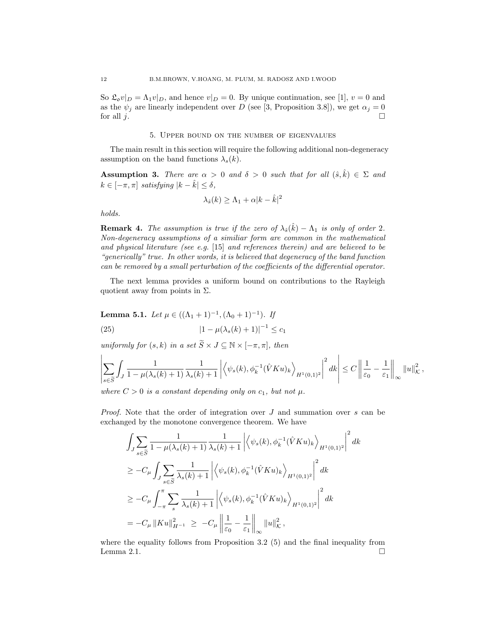So  $\mathfrak{L}_{\mathfrak{O}}v|_D = \Lambda_1v|_D$ , and hence  $v|_D = 0$ . By unique continuation, see [1],  $v = 0$  and as the  $\psi_j$  are linearly independent over D (see [3, Proposition 3.8]), we get  $\alpha_j = 0$ for all  $j$ .

#### 5. Upper bound on the number of eigenvalues

The main result in this section will require the following additional non-degeneracy assumption on the band functions  $\lambda_s(k)$ .

**Assumption 3.** There are  $\alpha > 0$  and  $\delta > 0$  such that for all  $(\hat{s}, \hat{k}) \in \Sigma$  and  $k \in [-\pi, \pi]$  satisfying  $|k - \hat{k}| \leq \delta$ ,

$$
\lambda_{\hat{s}}(k) \ge \Lambda_1 + \alpha |k - \hat{k}|^2
$$

holds.

**Remark 4.** The assumption is true if the zero of  $\lambda_{\hat{s}}(\hat{k}) - \Lambda_1$  is only of order 2. Non-degeneracy assumptions of a similiar form are common in the mathematical and physical literature (see e.g. [15] and references therein) and are believed to be "generically" true. In other words, it is believed that degeneracy of the band function can be removed by a small perturbation of the coefficients of the differential operator.

The next lemma provides a uniform bound on contributions to the Rayleigh quotient away from points in  $\Sigma$ .

**Lemma 5.1.** Let 
$$
\mu \in ((\Lambda_1 + 1)^{-1}, (\Lambda_0 + 1)^{-1})
$$
. If  
(25)  $|1 - \mu(\lambda_s(k) + 1)|^{-1} \le c_1$ 

uniformly for  $(s, k)$  in a set  $\widetilde{S} \times J \subseteq \mathbb{N} \times [-\pi, \pi]$ , then

$$
\left|\sum_{s\in\widetilde{S}}\int_{J}\frac{1}{1-\mu(\lambda_{s}(k)+1)}\frac{1}{\lambda_{s}(k)+1}\left|\left\langle\psi_{s}(k),\phi_{k}^{-1}(\hat{V}Ku)_{k}\right\rangle_{H^{1}(0,1)^{2}}\right|^{2}dk\right| \leq C\left\|\frac{1}{\varepsilon_{0}}-\frac{1}{\varepsilon_{1}}\right\|_{\infty}\|u\|_{K}^{2},
$$

where  $C > 0$  is a constant depending only on  $c_1$ , but not  $\mu$ .

*Proof.* Note that the order of integration over  $J$  and summation over  $s$  can be exchanged by the monotone convergence theorem. We have

$$
\int_{J} \sum_{s \in \widetilde{S}} \frac{1}{1 - \mu(\lambda_s(k) + 1)} \frac{1}{\lambda_s(k) + 1} \left| \left\langle \psi_s(k), \phi_k^{-1}(\hat{V}Ku)_k \right\rangle_{H^1(0,1)^2} \right|^2 dk
$$
  
\n
$$
\geq -C_{\mu} \int_{J} \sum_{s \in \widetilde{S}} \frac{1}{\lambda_s(k) + 1} \left| \left\langle \psi_s(k), \phi_k^{-1}(\hat{V}Ku)_k \right\rangle_{H^1(0,1)^2} \right|^2 dk
$$
  
\n
$$
\geq -C_{\mu} \int_{-\pi}^{\pi} \sum_{s} \frac{1}{\lambda_s(k) + 1} \left| \left\langle \psi_s(k), \phi_k^{-1}(\hat{V}Ku)_k \right\rangle_{H^1(0,1)^2} \right|^2 dk
$$
  
\n
$$
= -C_{\mu} ||Ku||_{H^{-1}}^2 \geq -C_{\mu} \left\| \frac{1}{\varepsilon_0} - \frac{1}{\varepsilon_1} \right\|_{\infty} ||u||_K^2,
$$

where the equality follows from Proposition 3.2 (5) and the final inequality from Lemma 2.1.  $\Box$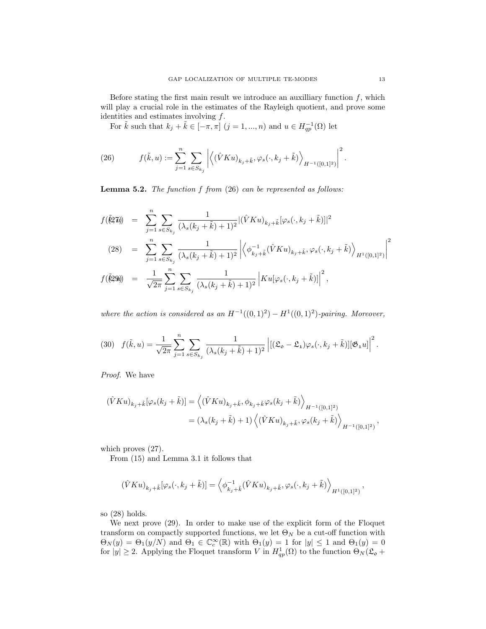Before stating the first main result we introduce an auxilliary function  $f$ , which will play a crucial role in the estimates of the Rayleigh quotient, and prove some identities and estimates involving  $f$ .

For  $\tilde{k}$  such that  $k_j + \tilde{k} \in [-\pi, \pi]$   $(j = 1, ..., n)$  and  $u \in H^{-1}_{qp}(\Omega)$  let

(26) 
$$
f(\tilde{k},u) := \sum_{j=1}^n \sum_{s \in S_{k_j}} \left| \left\langle (\hat{V}Ku)_{k_j + \tilde{k}}, \varphi_s(\cdot, k_j + \tilde{k}) \right\rangle_{H^{-1}([0,1]^2)} \right|^2.
$$

**Lemma 5.2.** The function  $f$  from  $(26)$  can be represented as follows:

$$
f(\tilde{k}2\tilde{u}) = \sum_{j=1}^{n} \sum_{s \in S_{k_j}} \frac{1}{(\lambda_s (k_j + \tilde{k}) + 1)^2} |(\hat{V}Ku)_{k_j + \tilde{k}}[\varphi_s(\cdot, k_j + \tilde{k})]|^2
$$
  
(28) = 
$$
\sum_{j=1}^{n} \sum_{s \in S_{k_j}} \frac{1}{(\lambda_s (k_j + \tilde{k}) + 1)^2} \left| \left\langle \phi_{k_j + \tilde{k}}^{-1} (\hat{V}Ku)_{k_j + \tilde{k}}, \varphi_s(\cdot, k_j + \tilde{k}) \right\rangle_{H^1([0,1]^2)} \right|^2
$$
  

$$
f(\tilde{k}2\tilde{u}) = \frac{1}{\sqrt{2\pi}} \sum_{j=1}^{n} \sum_{s \in S_{k_j}} \frac{1}{(\lambda_s (k_j + \tilde{k}) + 1)^2} \left| Ku[\varphi_s(\cdot, k_j + \tilde{k})] \right|^2,
$$

where the action is considered as an  $H^{-1}((0,1)^2) - H^1((0,1)^2)$ -pairing. Moreover,

$$
(30) \quad f(\tilde{k},u) = \frac{1}{\sqrt{2\pi}} \sum_{j=1}^{n} \sum_{s \in S_{k_j}} \frac{1}{(\lambda_s (k_j + \tilde{k}) + 1)^2} \left| [(\mathfrak{L}_{\mathfrak{0}} - \mathfrak{L}_{\mathfrak{1}}) \varphi_s(\cdot, k_j + \tilde{k})] [\mathfrak{G}_{\mathfrak{1}} u] \right|^2.
$$

Proof. We have

$$
\begin{aligned} (\hat{V}Ku)_{k_j+\tilde{k}}[\varphi_s(k_j+\tilde{k})] &= \left\langle (\hat{V}Ku)_{k_j+\tilde{k}}, \phi_{k_j+\tilde{k}}\varphi_s(k_j+\tilde{k}) \right\rangle_{H^{-1}([0,1]^2)} \\ &= (\lambda_s(k_j+\tilde{k})+1) \left\langle (\hat{V}Ku)_{k_j+\tilde{k}}, \varphi_s(k_j+\tilde{k}) \right\rangle_{H^{-1}([0,1]^2)}, \end{aligned}
$$

which proves (27).

From (15) and Lemma 3.1 it follows that

$$
(\hat{V}Ku)_{k_j+\tilde{k}}[\varphi_s(\cdot,k_j+\tilde{k})] = \left\langle \phi_{k_j+\tilde{k}}^{-1}(\hat{V}Ku)_{k_j+\tilde{k}},\varphi_s(\cdot,k_j+\tilde{k}) \right\rangle_{H^1([0,1]^2)},
$$

so (28) holds.

We next prove (29). In order to make use of the explicit form of the Floquet transform on compactly supported functions, we let  $\Theta_N$  be a cut-off function with  $\Theta_N(y) = \Theta_1(y/N)$  and  $\Theta_1 \in \mathbb{C}_c^{\infty}(\mathbb{R})$  with  $\Theta_1(y) = 1$  for  $|y| \leq 1$  and  $\Theta_1(y) = 0$ for  $|y| \geq 2$ . Applying the Floquet transform V in  $H_{qp}^{1}(\Omega)$  to the function  $\Theta_N(\mathfrak{L}_{\mathfrak{0}} +$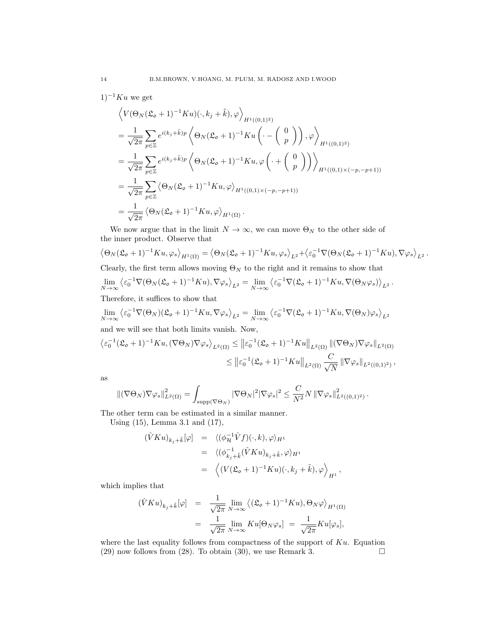$1)^{-1}Ku$  we get

$$
\left\langle V(\Theta_N(\mathfrak{L}_{\mathfrak{O}}+1)^{-1}Ku)(\cdot,k_j+\tilde{k}),\varphi \right\rangle_{H^1((0,1)^2)}
$$
\n
$$
=\frac{1}{\sqrt{2\pi}}\sum_{p\in\mathbb{Z}}e^{i(k_j+\tilde{k})p}\left\langle \Theta_N(\mathfrak{L}_{\mathfrak{O}}+1)^{-1}Ku\left(\cdot-\left(\begin{array}{c}0\\p\end{array}\right)\right),\varphi \right\rangle_{H^1((0,1)^2)}
$$
\n
$$
=\frac{1}{\sqrt{2\pi}}\sum_{p\in\mathbb{Z}}e^{i(k_j+\tilde{k})p}\left\langle \Theta_N(\mathfrak{L}_{\mathfrak{O}}+1)^{-1}Ku,\varphi\left(\cdot+\left(\begin{array}{c}0\\p\end{array}\right)\right)\right\rangle_{H^1((0,1)\times(-p,-p+1))}
$$
\n
$$
=\frac{1}{\sqrt{2\pi}}\sum_{p\in\mathbb{Z}}\left\langle \Theta_N(\mathfrak{L}_{\mathfrak{O}}+1)^{-1}Ku,\varphi\right\rangle_{H^1((0,1)\times(-p,-p+1))}
$$
\n
$$
=\frac{1}{\sqrt{2\pi}}\left\langle \Theta_N(\mathfrak{L}_{\mathfrak{O}}+1)^{-1}Ku,\varphi\right\rangle_{H^1(\Omega)}.
$$

We now argue that in the limit  $N \to \infty$ , we can move  $\Theta_N$  to the other side of the inner product. Observe that

$$
\langle \Theta_N(\mathfrak{L}_o + 1)^{-1} K u, \varphi_s \rangle_{H^1(\Omega)} = \langle \Theta_N(\mathfrak{L}_o + 1)^{-1} K u, \varphi_s \rangle_{L^2} + \langle \varepsilon_0^{-1} \nabla (\Theta_N(\mathfrak{L}_o + 1)^{-1} K u), \nabla \varphi_s \rangle_{L^2}.
$$
  
Clearly, the first term allows moving  $\Theta_N$  to the right and it remains to show that  

$$
\lim_{N \to \infty} \langle \varepsilon_0^{-1} \nabla (\Theta_N(\mathfrak{L}_o + 1)^{-1} K u), \nabla \varphi_s \rangle_{L^2} = \lim_{N \to \infty} \langle \varepsilon_0^{-1} \nabla (\mathfrak{L}_o + 1)^{-1} K u, \nabla (\Theta_N \varphi_s) \rangle_{L^2}.
$$

Therefore, it suffices to show that

$$
\lim_{N \to \infty} \left\langle \varepsilon_0^{-1} \nabla (\Theta_N) (\mathfrak{L}_\mathfrak{d} + 1)^{-1} K u, \nabla \varphi_s \right\rangle_{L^2} = \lim_{N \to \infty} \left\langle \varepsilon_0^{-1} \nabla (\mathfrak{L}_\mathfrak{d} + 1)^{-1} K u, \nabla (\Theta_N) \varphi_s \right\rangle_{L^2}
$$

and we will see that both limits vanish. Now,

$$
\langle \varepsilon_0^{-1} (\mathfrak{L}_\mathfrak{o} + 1)^{-1} K u, (\nabla \Theta_N) \nabla \varphi_s \rangle_{L^2(\Omega)} \leq \| \varepsilon_0^{-1} (\mathfrak{L}_\mathfrak{o} + 1)^{-1} K u \|_{L^2(\Omega)} \| (\nabla \Theta_N) \nabla \varphi_s \|_{L^2(\Omega)}
$$
  

$$
\leq \| \varepsilon_0^{-1} (\mathfrak{L}_\mathfrak{o} + 1)^{-1} K u \|_{L^2(\Omega)} \frac{C}{\sqrt{N}} \| \nabla \varphi_s \|_{L^2((0,1)^2)},
$$

as

$$
\left\|(\nabla \Theta_N) \nabla \varphi_s\right\|_{L^2(\Omega)}^2 = \int_{\mathrm{supp}(\nabla \Theta_N)} |\nabla \Theta_N|^2 |\nabla \varphi_s|^2 \leq \frac{C}{N^2} N \left\|\nabla \varphi_s\right\|_{L^2((0,1)^2)}^2.
$$

The other term can be estimated in a similar manner.

Using (15), Lemma 3.1 and (17),

$$
\begin{array}{rcl}\n(\hat{V}Ku)_{k_j+\tilde{k}}[\varphi] & = & \langle (\phi_{\mathcal{H}}^{-1}\hat{V}f)(\cdot,k),\varphi \rangle_{H^1} \\
 & = & \langle (\phi_{k_j+\tilde{k}}^{-1}(\hat{V}Ku)_{k_j+\tilde{k}},\varphi \rangle_{H^1} \\
 & = & \left\langle (V(\mathfrak{L}_{\mathfrak{0}}+1)^{-1}Ku)(\cdot,k_j+\tilde{k}),\varphi \right\rangle_{H^1},\n\end{array}
$$

which implies that

$$
\begin{array}{rcl}\n(\hat{V}Ku)_{k_j+\tilde{k}}[\varphi] & = & \frac{1}{\sqrt{2\pi}} \lim_{N \to \infty} \left\langle (\mathfrak{L}_{\mathfrak{0}} + 1)^{-1}Ku, \Theta_N \varphi \right\rangle_{H^1(\Omega)} \\
& = & \frac{1}{\sqrt{2\pi}} \lim_{N \to \infty} Ku[\Theta_N \varphi_s] = \frac{1}{\sqrt{2\pi}} Ku[\varphi_s],\n\end{array}
$$

where the last equality follows from compactness of the support of  $Ku$ . Equation (29) now follows from (28). To obtain (30), we use Remark 3.  $\square$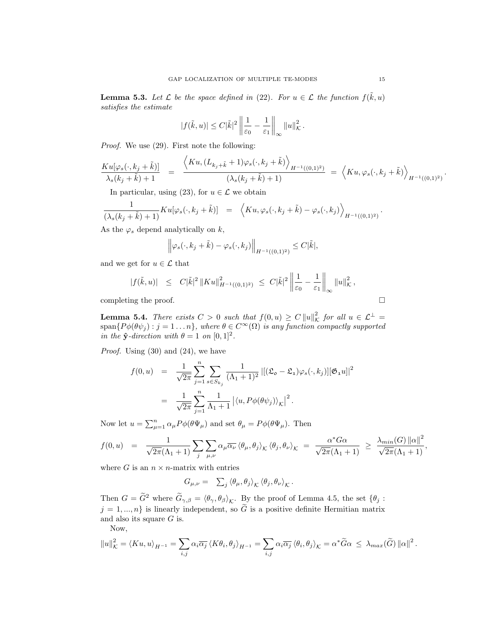**Lemma 5.3.** Let  $\mathcal{L}$  be the space defined in (22). For  $u \in \mathcal{L}$  the function  $f(\tilde{k}, u)$ satisfies the estimate

$$
|f(\tilde{k},u)| \leq C|\tilde{k}|^2 \left\| \frac{1}{\varepsilon_0} - \frac{1}{\varepsilon_1} \right\|_{\infty} \|u\|_{\mathcal{K}}^2.
$$

Proof. We use (29). First note the following:

$$
\frac{Ku[\varphi_s(\cdot,k_j+\tilde{k})]}{\lambda_s(k_j+\tilde{k})+1} = \frac{\langle Ku,(L_{k_j+\tilde{k}}+1)\varphi_s(\cdot,k_j+\tilde{k})\rangle_{H^{-1}((0,1)^2)}}{(\lambda_s(k_j+\tilde{k})+1)} = \langle Ku,\varphi_s(\cdot,k_j+\tilde{k})\rangle_{H^{-1}((0,1)^2)}.
$$

In particular, using (23), for  $u \in \mathcal{L}$  we obtain

$$
\frac{1}{(\lambda_s(k_j+\tilde{k})+1)}Ku[\varphi_s(\cdot,k_j+\tilde{k})] = \left\langle Ku, \varphi_s(\cdot,k_j+\tilde{k}) - \varphi_s(\cdot,k_j) \right\rangle_{H^{-1}((0,1)^2)}.
$$

As the  $\varphi_s$  depend analytically on  $k$ ,

$$
\left\|\varphi_s(\cdot,k_j+\tilde{k})-\varphi_s(\cdot,k_j)\right\|_{H^{-1}((0,1)^2)}\leq C|\tilde{k}|,
$$

and we get for  $u \in \mathcal{L}$  that

$$
|f(\tilde{k},u)| \leq C|\tilde{k}|^2 ||Ku||^2_{H^{-1}((0,1)^2)} \leq C|\tilde{k}|^2 \left\| \frac{1}{\varepsilon_0} - \frac{1}{\varepsilon_1} \right\|_{\infty} ||u||^2_{\mathcal{K}},
$$

completing the proof.

**Lemma 5.4.** There exists  $C > 0$  such that  $f(0, u) \ge C ||u||^2_K$  for all  $u \in L^{\perp}$ span $\{P\phi(\theta\psi_j): j=1...n\}$ , where  $\theta \in C^{\infty}(\Omega)$  is any function compactly supported in the  $\hat{\mathbf{y}}$ -direction with  $\theta = 1$  on  $[0, 1]^2$ .

*Proof.* Using  $(30)$  and  $(24)$ , we have

$$
f(0, u) = \frac{1}{\sqrt{2\pi}} \sum_{j=1}^{n} \sum_{s \in S_{k_j}} \frac{1}{(\Lambda_1 + 1)^2} \left| [(\mathfrak{L}_{\mathfrak{d}} - \mathfrak{L}_{\mathfrak{1}}) \varphi_s(\cdot, k_j)] [\mathfrak{G}_{\mathfrak{1}} u] \right|^2
$$
  

$$
= \frac{1}{\sqrt{2\pi}} \sum_{j=1}^{n} \frac{1}{\Lambda_1 + 1} \left| \langle u, P\phi(\theta \psi_j) \rangle_{\mathcal{K}} \right|^2.
$$

Now let  $u = \sum_{\mu=1}^n \alpha_{\mu} P \phi(\theta \Psi_{\mu})$  and set  $\theta_{\mu} = P \phi(\theta \Psi_{\mu})$ . Then

$$
f(0, u) = \frac{1}{\sqrt{2\pi}(\Lambda_1 + 1)} \sum_j \sum_{\mu,\nu} \alpha_{\mu} \overline{\alpha_{\nu}} \langle \theta_{\mu}, \theta_j \rangle_{\mathcal{K}} \langle \theta_j, \theta_{\nu} \rangle_{\mathcal{K}} = \frac{\alpha^* G \alpha}{\sqrt{2\pi}(\Lambda_1 + 1)} \geq \frac{\lambda_{min}(G) ||\alpha||^2}{\sqrt{2\pi}(\Lambda_1 + 1)},
$$

where G is an  $n \times n$ -matrix with entries

$$
G_{\mu,\nu} = \sum_j \langle \theta_\mu, \theta_j \rangle_{\mathcal{K}} \langle \theta_j, \theta_\nu \rangle_{\mathcal{K}}.
$$

Then  $G = \tilde{G}^2$  where  $\tilde{G}_{\gamma,\beta} = \langle \theta_{\gamma}, \theta_{\beta} \rangle_{\mathcal{K}}$ . By the proof of Lemma 4.5, the set  $\{\theta_j :$  $j = 1, ..., n$  is linearly independent, so  $\tilde{G}$  is a positive definite Hermitian matrix and also its square  $G$  is.

Now,

$$
||u||_{\mathcal{K}}^{2} = \langle Ku, u \rangle_{H^{-1}} = \sum_{i,j} \alpha_{i} \overline{\alpha_{j}} \langle K\theta_{i}, \theta_{j} \rangle_{H^{-1}} = \sum_{i,j} \alpha_{i} \overline{\alpha_{j}} \langle \theta_{i}, \theta_{j} \rangle_{\mathcal{K}} = \alpha^{*} \widetilde{G} \alpha \leq \lambda_{max}(\widetilde{G}) ||\alpha||^{2}.
$$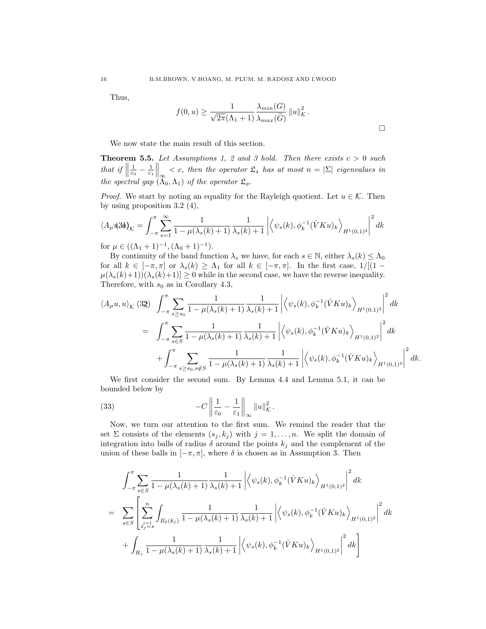Thus,

$$
f(0, u) \ge \frac{1}{\sqrt{2\pi}(\Lambda_1 + 1)} \frac{\lambda_{min}(G)}{\lambda_{max}(\widetilde{G})} ||u||^2_{\mathcal{K}}.
$$

 $\Box$ 

We now state the main result of this section.

**Theorem 5.5.** Let Assumptions 1, 2 and 3 hold. Then there exists  $c > 0$  such that if  $\parallel$  $\frac{1}{\varepsilon_0} - \frac{1}{\varepsilon_1} \Big|_{\infty} < c$ , then the operator  $\mathfrak{L}_1$  has at most  $n = |\Sigma|$  eigenvalues in the spectral gap  $(\Lambda_0, \Lambda_1)$  of the operator  $\mathfrak{L}_{\mathfrak{0}}$ .

*Proof.* We start by noting an equality for the Rayleigh quotient. Let  $u \in \mathcal{K}$ . Then by using proposition 3.2 (4),

$$
\langle A_{\mu} \psi \rangle_{\mathcal{K}} = \int_{-\pi}^{\pi} \sum_{s=1}^{\infty} \frac{1}{1 - \mu(\lambda_s(k) + 1)} \frac{1}{\lambda_s(k) + 1} \left| \left\langle \psi_s(k), \phi_k^{-1}(\hat{V}Ku)_k \right\rangle_{H^1(0,1)^2} \right|^2 dk
$$
  
for  $\mu \in ((\Lambda_1 + 1)^{-1}, (\Lambda_0 + 1)^{-1}).$ 

By continuity of the band function  $\lambda_s$  we have, for each  $s \in \mathbb{N}$ , either  $\lambda_s(k) \leq \Lambda_0$ for all  $k \in [-\pi, \pi]$  or  $\lambda_s(k) \geq \Lambda_1$  for all  $k \in [-\pi, \pi]$ . In the first case,  $1/[(1 \mu(\lambda_s(k)+1)(\lambda_s(k)+1)] \geq 0$  while in the second case, we have the reverse inequality. Therefore, with  $s_0$  as in Corollary 4.3,

$$
\langle A_{\mu}u, u \rangle_{\mathcal{K}} \text{ (32)} \quad \int_{-\pi}^{\pi} \sum_{s \ge s_0} \frac{1}{1 - \mu(\lambda_s(k) + 1)} \frac{1}{\lambda_s(k) + 1} \left| \left\langle \psi_s(k), \phi_k^{-1}(\hat{V}Ku)_k \right\rangle_{H^1(0,1)^2} \right|^2 dk
$$
  
\n
$$
= \quad \int_{-\pi}^{\pi} \sum_{s \in S} \frac{1}{1 - \mu(\lambda_s(k) + 1)} \frac{1}{\lambda_s(k) + 1} \left| \left\langle \psi_s(k), \phi_k^{-1}(\hat{V}Ku)_k \right\rangle_{H^1(0,1)^2} \right|^2 dk
$$
  
\n
$$
+ \int_{-\pi}^{\pi} \sum_{s \ge s_0, s \notin S} \frac{1}{1 - \mu(\lambda_s(k) + 1)} \frac{1}{\lambda_s(k) + 1} \left| \left\langle \psi_s(k), \phi_k^{-1}(\hat{V}Ku)_k \right\rangle_{H^1(0,1)^2} \right|^2 dk.
$$

We first consider the second sum. By Lemma 4.4 and Lemma 5.1, it can be bounded below by

(33) 
$$
-C\left\|\frac{1}{\varepsilon_0}-\frac{1}{\varepsilon_1}\right\|_{\infty}\|u\|_{\mathcal{K}}^2.
$$

Now, we turn our attention to the first sum. We remind the reader that the set  $\Sigma$  consists of the elements  $(s_j, k_j)$  with  $j = 1, \ldots, n$ . We split the domain of integration into balls of radius  $\delta$  around the points  $k_j$  and the complement of the union of these balls in  $[-\pi, \pi]$ , where  $\delta$  is chosen as in Assumption 3. Then

$$
\int_{-\pi}^{\pi} \sum_{s \in S} \frac{1}{1 - \mu(\lambda_s(k) + 1)} \frac{1}{\lambda_s(k) + 1} \left| \left\langle \psi_s(k), \phi_k^{-1}(\hat{V}Ku)_k \right\rangle_{H^1(0,1)^2} \right|^2 dk
$$
  
\n
$$
= \sum_{s \in S} \left[ \sum_{\substack{s=1 \ s_j=s}}^n \int_{B_\delta(k_j)} \frac{1}{1 - \mu(\lambda_s(k) + 1)} \frac{1}{\lambda_s(k) + 1} \left| \left\langle \psi_s(k), \phi_k^{-1}(\hat{V}Ku)_k \right\rangle_{H^1(0,1)^2} \right|^2 dk + \int_{R_s} \frac{1}{1 - \mu(\lambda_s(k) + 1)} \frac{1}{\lambda_s(k) + 1} \left| \left\langle \psi_s(k), \phi_k^{-1}(\hat{V}Ku)_k \right\rangle_{H^1(0,1)^2} \right|^2 dk \right]
$$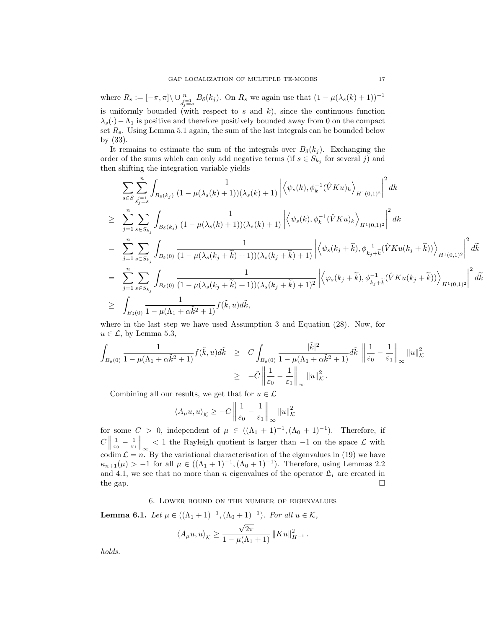where  $R_s := [-\pi, \pi] \setminus \bigcup_{\substack{j=1 \ j \neq s}}^n B_\delta(k_j)$ . On  $R_s$  we again use that  $(1 - \mu(\lambda_s(k) + 1))^{-1}$ is uniformly bounded (with respect to  $s$  and  $k$ ), since the continuous function  $\lambda_s(\cdot) - \Lambda_1$  is positive and therefore positively bounded away from 0 on the compact set  $R_s$ . Using Lemma 5.1 again, the sum of the last integrals can be bounded below by (33).

It remains to estimate the sum of the integrals over  $B_{\delta}(k_j)$ . Exchanging the order of the sums which can only add negative terms (if  $s \in S_{k_j}$  for several j) and then shifting the integration variable yields

$$
\sum_{s \in S} \sum_{\substack{j=1 \ j \neq s}}^{n} \int_{B_{\delta}(k_{j})} \frac{1}{(1 - \mu(\lambda_{s}(k) + 1))(\lambda_{s}(k) + 1)} \left| \left\langle \psi_{s}(k), \phi_{k}^{-1}(\hat{V}Ku)_{k} \right\rangle_{H^{1}(0,1)^{2}} \right|^{2} dk
$$
\n
$$
\geq \sum_{j=1}^{n} \sum_{s \in S_{k_{j}}} \int_{B_{\delta}(k_{j})} \frac{1}{(1 - \mu(\lambda_{s}(k) + 1))(\lambda_{s}(k) + 1)} \left| \left\langle \psi_{s}(k), \phi_{k}^{-1}(\hat{V}Ku)_{k} \right\rangle_{H^{1}(0,1)^{2}} \right|^{2} dk
$$
\n
$$
= \sum_{j=1}^{n} \sum_{s \in S_{k_{j}}} \int_{B_{\delta}(0)} \frac{1}{(1 - \mu(\lambda_{s}(k_{j} + \tilde{k}) + 1))(\lambda_{s}(k_{j} + \tilde{k}) + 1)} \left| \left\langle \psi_{s}(k_{j} + \tilde{k}), \phi_{k_{j} + \tilde{k}}^{-1}(\hat{V}Ku(k_{j} + \tilde{k})) \right\rangle_{H^{1}(0,1)^{2}} \right|^{2} d\tilde{k}
$$
\n
$$
= \sum_{j=1}^{n} \sum_{s \in S_{k_{j}}} \int_{B_{\delta}(0)} \frac{1}{(1 - \mu(\lambda_{s}(k_{j} + \tilde{k}) + 1))(\lambda_{s}(k_{j} + \tilde{k}) + 1)^{2}} \left| \left\langle \varphi_{s}(k_{j} + \tilde{k}), \phi_{k_{j} + \tilde{k}}^{-1}(\hat{V}Ku(k_{j} + \tilde{k})) \right\rangle_{H^{1}(0,1)^{2}} \right|^{2} d\tilde{k}
$$
\n
$$
\geq \int_{B_{\delta}(0)} \frac{1}{1 - \mu(\Lambda_{1} + \alpha \tilde{k}^{2} + 1)} f(\tilde{k}, u) d\tilde{k},
$$

where in the last step we have used Assumption 3 and Equation (28). Now, for  $u \in \mathcal{L}$ , by Lemma 5.3,

$$
\int_{B_{\delta}(0)} \frac{1}{1 - \mu(\Lambda_1 + \alpha \tilde{k}^2 + 1)} f(\tilde{k}, u) d\tilde{k} \geq C \int_{B_{\delta}(0)} \frac{|\tilde{k}|^2}{1 - \mu(\Lambda_1 + \alpha \tilde{k}^2 + 1)} d\tilde{k} \|\frac{1}{\varepsilon_0} - \frac{1}{\varepsilon_1}\|_{\infty} \|u\|_{\mathcal{K}}^2
$$
  

$$
\geq -\tilde{C} \|\frac{1}{\varepsilon_0} - \frac{1}{\varepsilon_1}\|_{\infty} \|u\|_{\mathcal{K}}^2.
$$

Combining all our results, we get that for  $u \in \mathcal{L}$ 

$$
\langle A_{\mu}u, u \rangle_{\mathcal{K}} \ge -C \left\| \frac{1}{\varepsilon_0} - \frac{1}{\varepsilon_1} \right\|_{\infty} \|u\|_{\mathcal{K}}^2
$$

for some  $C > 0$ , independent of  $\mu \in ((\Lambda_1 + 1)^{-1}, (\Lambda_0 + 1)^{-1})$ . Therefore, if  $C \Big\|$  $\frac{1}{\varepsilon_0} - \frac{1}{\varepsilon_1} \Big|_{\infty} < 1$  the Rayleigh quotient is larger than  $-1$  on the space  $\mathcal{L}$  with codim  $\mathcal{L} = n$ . By the variational characterisation of the eigenvalues in (19) we have  $\kappa_{n+1}(\mu) > -1$  for all  $\mu \in ((\Lambda_1 + 1)^{-1}, (\Lambda_0 + 1)^{-1})$ . Therefore, using Lemmas 2.2 and 4.1, we see that no more than n eigenvalues of the operator  $\mathfrak{L}_1$  are created in the gap.  $\square$ 

#### 6. Lower bound on the number of eigenvalues

**Lemma 6.1.** Let  $\mu \in ((\Lambda_1 + 1)^{-1}, (\Lambda_0 + 1)^{-1})$ . For all  $u \in \mathcal{K}$ ,

$$
\langle A_{\mu}u, u \rangle_{\mathcal{K}} \ge \frac{\sqrt{2\pi}}{1 - \mu(\Lambda_1 + 1)} ||Ku||_{H^{-1}}^2.
$$

holds.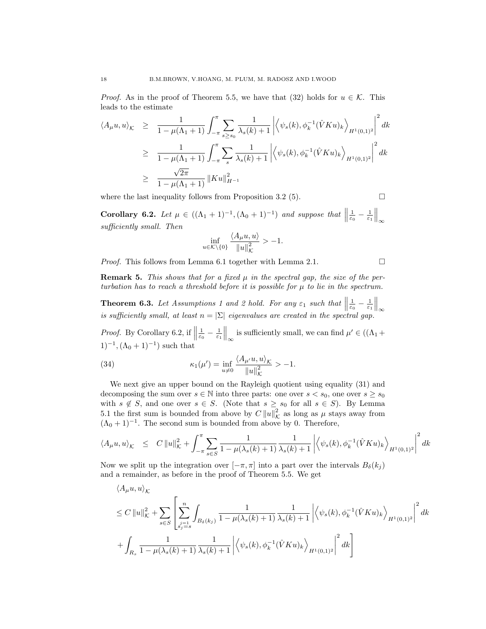*Proof.* As in the proof of Theorem 5.5, we have that (32) holds for  $u \in \mathcal{K}$ . This leads to the estimate

$$
\langle A_{\mu}u, u \rangle_{\mathcal{K}} \geq \frac{1}{1 - \mu(\Lambda_1 + 1)} \int_{-\pi}^{\pi} \sum_{s \geq s_0} \frac{1}{\lambda_s(k) + 1} \left| \left\langle \psi_s(k), \phi_k^{-1}(\hat{V}Ku)_k \right\rangle_{H^1(0,1)^2} \right|^2 dk
$$
  
\n
$$
\geq \frac{1}{1 - \mu(\Lambda_1 + 1)} \int_{-\pi}^{\pi} \sum_s \frac{1}{\lambda_s(k) + 1} \left| \left\langle \psi_s(k), \phi_k^{-1}(\hat{V}Ku)_k \right\rangle_{H^1(0,1)^2} \right|^2 dk
$$
  
\n
$$
\geq \frac{\sqrt{2\pi}}{1 - \mu(\Lambda_1 + 1)} ||Ku||_{H^{-1}}^2
$$

where the last inequality follows from Proposition 3.2 (5).

$$
\Box
$$

Corollary 6.2. Let  $\mu \in ((\Lambda_1 + 1)^{-1}, (\Lambda_0 + 1)^{-1})$  and suppose that  $\|\cdot\|$  $\frac{1}{\varepsilon_0}-\frac{1}{\varepsilon_1}\Big\|_\infty$ sufficiently small. Then

$$
\inf_{u \in \mathcal{K} \setminus \{0\}} \frac{\langle A_{\mu} u, u \rangle}{\|u\|_{\mathcal{K}}^2} > -1.
$$

*Proof.* This follows from Lemma 6.1 together with Lemma 2.1.  $\Box$ 

**Remark 5.** This shows that for a fixed  $\mu$  in the spectral gap, the size of the perturbation has to reach a threshold before it is possible for  $\mu$  to lie in the spectrum.

**Theorem 6.3.** Let Assumptions 1 and 2 hold. For any  $\varepsilon_1$  such that  $\parallel$ **Theorem 6.3.** Let Assumptions 1 and 2 hold. For any  $\varepsilon_1$  such that  $\left\|\frac{1}{\varepsilon_0} - \frac{1}{\varepsilon_1}\right\|_{\infty}$  is sufficiently small, at least  $n = |\Sigma|$  eigenvalues are created in the spectral gap.

*Proof.* By Corollary 6.2, if  $\parallel$  $\frac{1}{\varepsilon_0} - \frac{1}{\varepsilon_1} \Big\|_{\infty}$  is sufficiently small, we can find  $\mu' \in ((\Lambda_1 +$  $(1)^{-1}, (\Lambda_0 + 1)^{-1}$  such that

(34) 
$$
\kappa_1(\mu') = \inf_{u \neq 0} \frac{\langle A_{\mu'} u, u \rangle_{\mathcal{K}}}{\|u\|_{\mathcal{K}}^2} > -1.
$$

We next give an upper bound on the Rayleigh quotient using equality (31) and decomposing the sum over  $s \in \mathbb{N}$  into three parts: one over  $s < s_0$ , one over  $s \geq s_0$ with  $s \notin S$ , and one over  $s \in S$ . (Note that  $s \geq s_0$  for all  $s \in S$ ). By Lemma 5.1 the first sum is bounded from above by  $C ||u||^2_{\mathcal{K}}$  as long as  $\mu$  stays away from  $(\Lambda_0 + 1)^{-1}$ . The second sum is bounded from above by 0. Therefore,

$$
\langle A_{\mu} u, u \rangle_{\mathcal{K}} \leq C \|u\|_{\mathcal{K}}^2 + \int_{-\pi}^{\pi} \sum_{s \in S} \frac{1}{1 - \mu(\lambda_s(k) + 1)} \frac{1}{\lambda_s(k) + 1} \left| \left\langle \psi_s(k), \phi_k^{-1}(\hat{V}K u)_k \right\rangle_{H^1(0,1)^2} \right|^2 dk
$$

Now we split up the integration over  $[-\pi, \pi]$  into a part over the intervals  $B_{\delta}(k_i)$ and a remainder, as before in the proof of Theorem 5.5. We get

$$
\langle A_{\mu}u, u \rangle_{\mathcal{K}}
$$
  
\n
$$
\leq C ||u||_{\mathcal{K}}^2 + \sum_{s \in S} \left[ \sum_{\substack{j=1 \ s_j=s}}^n \int_{B_{\delta}(k_j)} \frac{1}{1 - \mu(\lambda_s(k) + 1)} \frac{1}{\lambda_s(k) + 1} \left| \left\langle \psi_s(k), \phi_k^{-1}(\hat{V}Ku)_k \right\rangle_{H^1(0,1)^2} \right|^2 dk \right.
$$
  
\n
$$
+ \int_{R_s} \frac{1}{1 - \mu(\lambda_s(k) + 1)} \frac{1}{\lambda_s(k) + 1} \left| \left\langle \psi_s(k), \phi_k^{-1}(\hat{V}Ku)_k \right\rangle_{H^1(0,1)^2} \right|^2 dk \right]
$$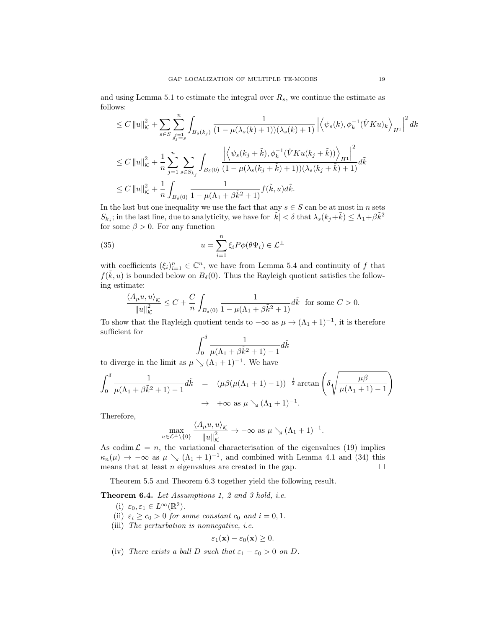and using Lemma 5.1 to estimate the integral over  $R_s$ , we continue the estimate as follows:

$$
\leq C \|u\|_{\mathcal{K}}^{2} + \sum_{s \in S} \sum_{\substack{j=1 \ j \neq s}}^{n} \int_{B_{\delta}(k_{j})} \frac{1}{(1 - \mu(\lambda_{s}(k) + 1))(\lambda_{s}(k) + 1)} \left| \left\langle \psi_{s}(k), \phi_{k}^{-1}(\hat{V}Ku)_{k} \right\rangle_{H^{1}} \right|^{2} dk
$$
  

$$
\leq C \|u\|_{\mathcal{K}}^{2} + \frac{1}{n} \sum_{j=1}^{n} \sum_{s \in S_{k_{j}}} \int_{B_{\delta}(0)} \frac{\left| \left\langle \psi_{s}(k_{j} + \tilde{k}), \phi_{k}^{-1}(\hat{V}Ku(k_{j} + \tilde{k})) \right\rangle_{H^{1}} \right|^{2}}{(1 - \mu(\lambda_{s}(k_{j} + \tilde{k}) + 1))(\lambda_{s}(k_{j} + \tilde{k}) + 1)} d\tilde{k}
$$
  

$$
\leq C \|u\|_{\mathcal{K}}^{2} + \frac{1}{n} \int_{B_{\delta}(0)} \frac{1}{1 - \mu(\Lambda_{1} + \beta \tilde{k}^{2} + 1)} f(\tilde{k}, u) d\tilde{k}.
$$

In the last but one inequality we use the fact that any  $s \in S$  can be at most in n sets  $S_{k_j}$ ; in the last line, due to analyticity, we have for  $|\tilde{k}| < \delta$  that  $\lambda_s(k_j+\tilde{k}) \leq \Lambda_1 + \beta \tilde{k}^2$ for some  $\beta > 0$ . For any function

(35) 
$$
u = \sum_{i=1}^{n} \xi_i P \phi(\theta \Psi_i) \in \mathcal{L}^{\perp}
$$

with coefficients  $(\xi_i)_{i=1}^n \in \mathbb{C}^n$ , we have from Lemma 5.4 and continuity of f that  $f(\tilde{k}, u)$  is bounded below on  $B_\delta(0)$ . Thus the Rayleigh quotient satisfies the following estimate:

$$
\frac{\langle A_{\mu}u, u \rangle_{\mathcal{K}}}{\|u\|_{\mathcal{K}}^2} \le C + \frac{C}{n} \int_{B_{\delta}(0)} \frac{1}{1 - \mu(\Lambda_1 + \beta \tilde{k}^2 + 1)} d\tilde{k} \text{ for some } C > 0.
$$

To show that the Rayleigh quotient tends to  $-\infty$  as  $\mu \to (\Lambda_1 + 1)^{-1}$ , it is therefore sufficient for

$$
\int_0^\delta \frac{1}{\mu(\Lambda_1 + \beta \tilde{k}^2 + 1) - 1} d\tilde{k}
$$

to diverge in the limit as  $\mu \searrow (\Lambda_1 + 1)^{-1}$ . We have

$$
\int_0^\delta \frac{1}{\mu(\Lambda_1 + \beta \tilde{k}^2 + 1) - 1} d\tilde{k} = (\mu \beta (\mu(\Lambda_1 + 1) - 1))^{-\frac{1}{2}} \arctan\left(\delta \sqrt{\frac{\mu \beta}{\mu(\Lambda_1 + 1) - 1}}\right)
$$
  

$$
\to +\infty \text{ as } \mu \searrow (\Lambda_1 + 1)^{-1}.
$$

Therefore,

$$
\max_{u \in \mathcal{L}^{\perp} \setminus \{0\}} \frac{\langle A_{\mu}u, u \rangle_{\mathcal{K}}}{\|u\|_{\mathcal{K}}^2} \to -\infty \text{ as } \mu \searrow (\Lambda_1 + 1)^{-1}.
$$

As codim  $\mathcal{L} = n$ , the variational characterisation of the eigenvalues (19) implies  $\kappa_n(\mu) \to -\infty$  as  $\mu \searrow (\Lambda_1 + 1)^{-1}$ , and combined with Lemma 4.1 and (34) this means that at least *n* eigenvalues are created in the gap.  $\square$ 

Theorem 5.5 and Theorem 6.3 together yield the following result.

Theorem 6.4. Let Assumptions 1, 2 and 3 hold, i.e.

- (i)  $\varepsilon_0, \varepsilon_1 \in L^{\infty}(\mathbb{R}^2)$ .
- (ii)  $\varepsilon_i \geq c_0 > 0$  for some constant  $c_0$  and  $i = 0, 1$ .
- (iii) The perturbation is nonnegative, i.e.

$$
\varepsilon_1(\mathbf{x}) - \varepsilon_0(\mathbf{x}) \ge 0.
$$

(iv) There exists a ball D such that  $\varepsilon_1 - \varepsilon_0 > 0$  on D.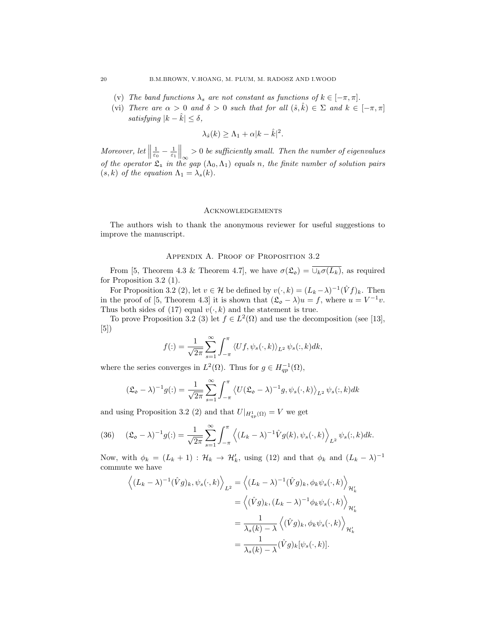- (v) The band functions  $\lambda_s$  are not constant as functions of  $k \in [-\pi, \pi]$ .
- (vi) There are  $\alpha > 0$  and  $\delta > 0$  such that for all  $(\hat{s}, \hat{k}) \in \Sigma$  and  $k \in [-\pi, \pi]$ satisfying  $|k - \hat{k}| \leq \delta$ ,

$$
\lambda_{\hat{s}}(k) \geq \Lambda_1 + \alpha |k - \hat{k}|^2.
$$

Moreover, let  $\parallel$  $\frac{1}{\varepsilon_0} - \frac{1}{\varepsilon_1} \Big\|_{\infty} > 0$  be sufficiently small. Then the number of eigenvalues of the operator  $\mathfrak{L}_1$  in the gap  $(\Lambda_0, \Lambda_1)$  equals n, the finite number of solution pairs  $(s, k)$  of the equation  $\Lambda_1 = \lambda_s(k)$ .

#### **ACKNOWLEDGEMENTS**

The authors wish to thank the anonymous reviewer for useful suggestions to improve the manuscript.

#### APPENDIX A. PROOF OF PROPOSITION 3.2

From [5, Theorem 4.3 & Theorem 4.7], we have  $\sigma(\mathfrak{L}_{\mathfrak{0}}) = \overline{\cup_k \sigma(L_k)}$ , as required for Proposition 3.2 (1).

For Proposition 3.2 (2), let  $v \in \mathcal{H}$  be defined by  $v(\cdot, k) = (L_k - \lambda)^{-1} (\hat{V}f)_k$ . Then in the proof of [5, Theorem 4.3] it is shown that  $(\mathfrak{L} \circ - \lambda)u = f$ , where  $u = V^{-1}v$ . Thus both sides of (17) equal  $v(\cdot, k)$  and the statement is true.

To prove Proposition 3.2 (3) let  $f \in L^2(\Omega)$  and use the decomposition (see [13], [5])

$$
f(:)=\frac{1}{\sqrt{2\pi}}\sum_{s=1}^{\infty}\int_{-\pi}^{\pi}\left\langle Uf,\psi_{s}(\cdot,k)\right\rangle_{L^{2}}\psi_{s}(:,k)dk,
$$

where the series converges in  $L^2(\Omega)$ . Thus for  $g \in H_{qp}^{-1}(\Omega)$ ,

$$
(\mathfrak{L}_{\mathfrak{0}} - \lambda)^{-1} g(:) = \frac{1}{\sqrt{2\pi}} \sum_{s=1}^{\infty} \int_{-\pi}^{\pi} \langle U(\mathfrak{L}_{\mathfrak{0}} - \lambda)^{-1} g, \psi_s(\cdot, k) \rangle_{L^2} \psi_s(:, k) dk
$$

and using Proposition 3.2 (2) and that  $U|_{H_{qp}^1(\Omega)} = V$  we get

(36) 
$$
(\mathfrak{L}_{\mathfrak{0}} - \lambda)^{-1} g(:) = \frac{1}{\sqrt{2\pi}} \sum_{s=1}^{\infty} \int_{-\pi}^{\pi} \left\langle (L_k - \lambda)^{-1} \hat{V} g(k), \psi_s(\cdot, k) \right\rangle_{L^2} \psi_s(:, k) dk.
$$

Now, with  $\phi_k = (L_k + 1) : \mathcal{H}_k \to \mathcal{H}'_k$ , using (12) and that  $\phi_k$  and  $(L_k - \lambda)^{-1}$ commute we have

$$
\left\langle (L_k - \lambda)^{-1} (\hat{V}g)_k, \psi_s(\cdot, k) \right\rangle_{L^2} = \left\langle (L_k - \lambda)^{-1} (\hat{V}g)_k, \phi_k \psi_s(\cdot, k) \right\rangle_{\mathcal{H}'_k}
$$

$$
= \left\langle (\hat{V}g)_k, (L_k - \lambda)^{-1} \phi_k \psi_s(\cdot, k) \right\rangle_{\mathcal{H}'_k}
$$

$$
= \frac{1}{\lambda_s(k) - \lambda} \left\langle (\hat{V}g)_k, \phi_k \psi_s(\cdot, k) \right\rangle_{\mathcal{H}'_k}
$$

$$
= \frac{1}{\lambda_s(k) - \lambda} (\hat{V}g)_k [\psi_s(\cdot, k)].
$$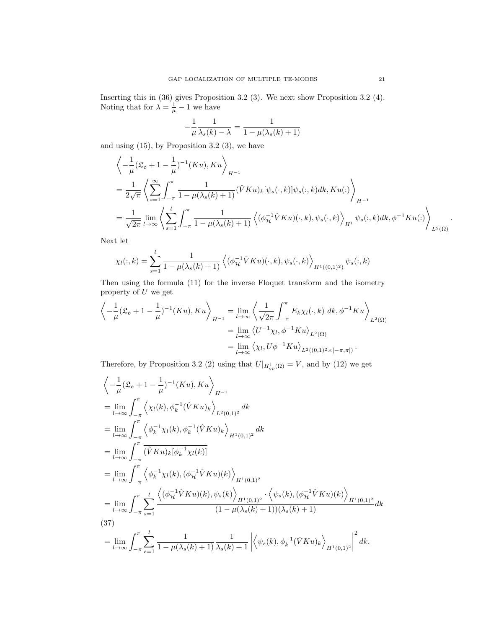Inserting this in (36) gives Proposition 3.2 (3). We next show Proposition 3.2 (4). Noting that for  $\lambda = \frac{1}{\mu} - 1$  we have

$$
-\frac{1}{\mu}\frac{1}{\lambda_s(k)-\lambda} = \frac{1}{1-\mu(\lambda_s(k)+1)}
$$

and using (15), by Proposition 3.2 (3), we have

$$
\left\langle -\frac{1}{\mu} (\mathfrak{L}_{\mathfrak{O}} + 1 - \frac{1}{\mu})^{-1} (K u), K u \right\rangle_{H^{-1}} \n= \frac{1}{2\sqrt{\pi}} \left\langle \sum_{s=1}^{\infty} \int_{-\pi}^{\pi} \frac{1}{1 - \mu(\lambda_s(k) + 1)} (\hat{V} K u)_k [\psi_s(\cdot, k)] \psi_s(:, k) dk, K u(:) \right\rangle_{H^{-1}} \n= \frac{1}{\sqrt{2\pi}} \lim_{l \to \infty} \left\langle \sum_{s=1}^{l} \int_{-\pi}^{\pi} \frac{1}{1 - \mu(\lambda_s(k) + 1)} \left\langle (\phi_{\mathcal{H}}^{-1} \hat{V} K u)(\cdot, k), \psi_s(\cdot, k) \right\rangle_{H^1} \psi_s(:, k) dk, \phi^{-1} K u(:) \right\rangle_{L^2(\Omega)}.
$$

Next let

$$
\chi_l(:,k) = \sum_{s=1}^l \frac{1}{1 - \mu(\lambda_s(k) + 1)} \left\langle (\phi_{\mathcal{H}}^{-1} \hat{V} K u)(\cdot, k), \psi_s(\cdot, k) \right\rangle_{H^1((0,1)^2)} \psi_s(:,k)
$$

Then using the formula (11) for the inverse Floquet transform and the isometry property of  $U$  we get

$$
\left\langle -\frac{1}{\mu} (\mathfrak{L}_{\mathfrak{0}} + 1 - \frac{1}{\mu})^{-1} (K u), K u \right\rangle_{H^{-1}} = \lim_{l \to \infty} \left\langle \frac{1}{\sqrt{2\pi}} \int_{-\pi}^{\pi} E_k \chi_l(\cdot, k) \, dk, \phi^{-1} K u \right\rangle_{L^2(\Omega)}
$$
  

$$
= \lim_{l \to \infty} \left\langle U^{-1} \chi_l, \phi^{-1} K u \right\rangle_{L^2(\Omega)}
$$
  

$$
= \lim_{l \to \infty} \left\langle \chi_l, U \phi^{-1} K u \right\rangle_{L^2((0, 1)^2 \times [-\pi, \pi])}.
$$

Therefore, by Proposition 3.2 (2) using that  $U|_{H_{qp}^{1}(\Omega)} = V$ , and by (12) we get

$$
\begin{split}\n&\left\langle -\frac{1}{\mu} (\mathfrak{L}_{\mathfrak{O}} + 1 - \frac{1}{\mu})^{-1} (Ku), Ku \right\rangle_{H^{-1}} \\
&= \lim_{l \to \infty} \int_{-\pi}^{\pi} \left\langle \chi_{l}(k), \phi_{k}^{-1} (\hat{V}Ku)_{k} \right\rangle_{L^{2}(0,1)^{2}} dk \\
&= \lim_{l \to \infty} \int_{-\pi}^{\pi} \left\langle \phi_{k}^{-1} \chi_{l}(k), \phi_{k}^{-1} (\hat{V}Ku)_{k} \right\rangle_{H^{1}(0,1)^{2}} dk \\
&= \lim_{l \to \infty} \int_{-\pi}^{\pi} \left( \hat{V}Ku)_{k} [\phi_{k}^{-1} \chi_{l}(k)] \\
&= \lim_{l \to \infty} \int_{-\pi}^{\pi} \left\langle \phi_{k}^{-1} \chi_{l}(k), (\phi_{H}^{-1} \hat{V}Ku)(k) \right\rangle_{H^{1}(0,1)^{2}} \\
&= \lim_{l \to \infty} \int_{-\pi}^{\pi} \sum_{s=1}^{l} \frac{\left\langle (\phi_{H}^{-1} \hat{V}Ku)(k), \psi_{s}(k) \right\rangle_{H^{1}(0,1)^{2}} \cdot \left\langle \psi_{s}(k), (\phi_{H}^{-1} \hat{V}Ku)(k) \right\rangle_{H^{1}(0,1)^{2}} dk}{(1 - \mu(\lambda_{s}(k) + 1))(\lambda_{s}(k) + 1)} dk \\
(37) \\
&= \lim_{l \to \infty} \int_{-\pi}^{\pi} \sum_{s=1}^{l} \frac{1}{1 - \mu(\lambda_{s}(k) + 1)} \frac{1}{\lambda_{s}(k) + 1} \left| \left\langle \psi_{s}(k), \phi_{k}^{-1} (\hat{V}Ku)_{k} \right\rangle_{H^{1}(0,1)^{2}} \right|^{2} dk.\n\end{split}
$$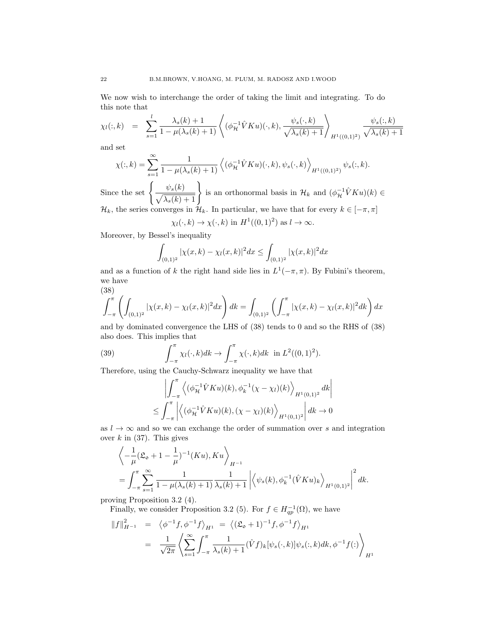We now wish to interchange the order of taking the limit and integrating. To do this note that

$$
\chi_l(:,k) = \sum_{s=1}^l \frac{\lambda_s(k) + 1}{1 - \mu(\lambda_s(k) + 1)} \left\langle (\phi_{\mathcal{H}}^{-1} \hat{V} K u)(\cdot, k), \frac{\psi_s(\cdot, k)}{\sqrt{\lambda_s(k) + 1}} \right\rangle_{H^1((0,1)^2)} \frac{\psi_s(:,k)}{\sqrt{\lambda_s(k) + 1}}
$$

and set

$$
\chi(:,k) = \sum_{s=1}^{\infty} \frac{1}{1 - \mu(\lambda_s(k) + 1)} \left\langle (\phi_{\mathcal{H}}^{-1} \hat{V} K u)(\cdot, k), \psi_s(\cdot, k) \right\rangle_{H^1((0,1)^2)} \psi_s(:,k).
$$

Since the set  $\left\{\frac{\psi_s(k)}{\sqrt{\mathcal{N}(k)}}\right\}$  $\frac{\psi_s(k)}{\sqrt{\lambda_s(k)+1}}\Bigg\}$ is an orthonormal basis in  $\mathcal{H}_k$  and  $(\phi_{\mathcal{H}}^{-1} \hat{V} K u)(k) \in$  $\mathcal{H}_k$ , the series converges in  $\mathcal{H}_k$ . In particular, we have that for every  $k \in [-\pi, \pi]$ 

 $\chi_l(\cdot, k) \to \chi(\cdot, k)$  in  $H^1((0, 1)^2)$  as  $l \to \infty$ .

Moreover, by Bessel's inequality

$$
\int_{(0,1)^2} |\chi(x,k) - \chi_l(x,k)|^2 dx \le \int_{(0,1)^2} |\chi(x,k)|^2 dx
$$

and as a function of k the right hand side lies in  $L^1(-\pi, \pi)$ . By Fubini's theorem, we have (38)

$$
\int_{-\pi}^{\pi} \left( \int_{(0,1)^2} |\chi(x,k) - \chi_l(x,k)|^2 dx \right) dk = \int_{(0,1)^2} \left( \int_{-\pi}^{\pi} |\chi(x,k) - \chi_l(x,k)|^2 dk \right) dx
$$

and by dominated convergence the LHS of (38) tends to 0 and so the RHS of (38) also does. This implies that

(39) 
$$
\int_{-\pi}^{\pi} \chi_l(\cdot, k) dk \to \int_{-\pi}^{\pi} \chi(\cdot, k) dk \text{ in } L^2((0, 1)^2).
$$

Therefore, using the Cauchy-Schwarz inequality we have that

$$
\left| \int_{-\pi}^{\pi} \left\langle (\phi_{\mathcal{H}}^{-1} \hat{V} K u)(k), \phi_{k}^{-1} (\chi - \chi_{l})(k) \right\rangle_{H^{1}(0,1)^{2}} dk \right|
$$
  
 
$$
\leq \int_{-\pi}^{\pi} \left| \left\langle (\phi_{\mathcal{H}}^{-1} \hat{V} K u)(k), (\chi - \chi_{l})(k) \right\rangle_{H^{1}(0,1)^{2}} \right| dk \to 0
$$

as  $l \to \infty$  and so we can exchange the order of summation over s and integration over  $k$  in (37). This gives

$$
\left\langle -\frac{1}{\mu} (\mathfrak{L}_{\mathfrak{0}} + 1 - \frac{1}{\mu})^{-1} (K u), K u \right\rangle_{H^{-1}} \n= \int_{-\pi}^{\pi} \sum_{s=1}^{\infty} \frac{1}{1 - \mu(\lambda_s(k) + 1)} \frac{1}{\lambda_s(k) + 1} \left| \left\langle \psi_s(k), \phi_k^{-1}(\hat{V} K u)_k \right\rangle_{H^1(0,1)^2} \right|^2 dk.
$$

proving Proposition 3.2 (4).

Finally, we consider Proposition 3.2 (5). For  $f \in H_{qp}^{-1}(\Omega)$ , we have

$$
||f||_{H^{-1}}^2 = \langle \phi^{-1}f, \phi^{-1}f \rangle_{H^1} = \langle (\mathfrak{L}_\mathfrak{o} + 1)^{-1}f, \phi^{-1}f \rangle_{H^1}
$$
  
= 
$$
\frac{1}{\sqrt{2\pi}} \left\langle \sum_{s=1}^\infty \int_{-\pi}^\pi \frac{1}{\lambda_s(k) + 1} (\hat{V}f)_k [\psi_s(\cdot, k)] \psi_s(:, k) dk, \phi^{-1}f(:) \right\rangle_{H^1}
$$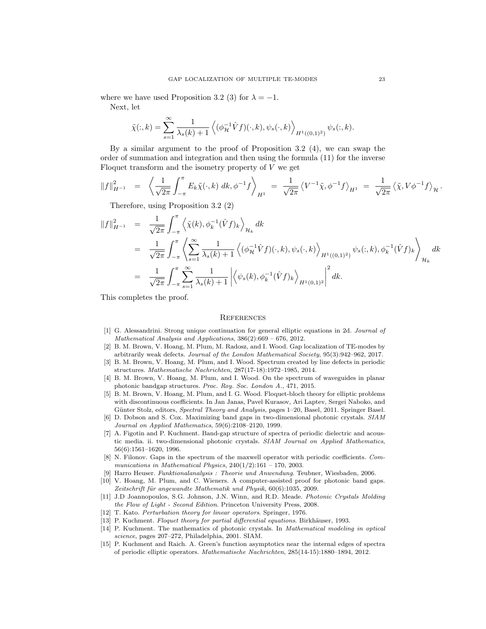where we have used Proposition 3.2 (3) for  $\lambda = -1$ .

Next, let

$$
\tilde{\chi}(:,k) = \sum_{s=1}^{\infty} \frac{1}{\lambda_s(k) + 1} \left\langle (\phi_{\mathcal{H}}^{-1} \hat{V} f)(\cdot, k), \psi_s(\cdot, k) \right\rangle_{H^1((0,1)^2)} \psi_s(:,k).
$$

By a similar argument to the proof of Proposition 3.2  $(4)$ , we can swap the order of summation and integration and then using the formula (11) for the inverse Floquet transform and the isometry property of  $V$  we get

$$
||f||_{H^{-1}}^2 = \left\langle \frac{1}{\sqrt{2\pi}} \int_{-\pi}^{\pi} E_k \tilde{\chi}(\cdot, k) \, dk, \phi^{-1} f \right\rangle_{H^1} = \frac{1}{\sqrt{2\pi}} \left\langle V^{-1} \tilde{\chi}, \phi^{-1} f \right\rangle_{H^1} = \frac{1}{\sqrt{2\pi}} \left\langle \tilde{\chi}, V \phi^{-1} f \right\rangle_{\mathcal{H}}.
$$

Therefore, using Proposition 3.2 (2)

$$
\begin{split}\n\|f\|_{H^{-1}}^2 &= \frac{1}{\sqrt{2\pi}} \int_{-\pi}^{\pi} \left\langle \tilde{\chi}(k), \phi_k^{-1}(\hat{V}f)_k \right\rangle_{\mathcal{H}_k} dk \\
&= \frac{1}{\sqrt{2\pi}} \int_{-\pi}^{\pi} \left\langle \sum_{s=1}^{\infty} \frac{1}{\lambda_s(k)+1} \left\langle (\phi_{\mathcal{H}}^{-1}\hat{V}f)(\cdot, k), \psi_s(\cdot, k) \right\rangle_{H^1((0,1)^2)} \psi_s(:,k), \phi_k^{-1}(\hat{V}f)_k \right\rangle_{\mathcal{H}_k} dk \\
&= \frac{1}{\sqrt{2\pi}} \int_{-\pi}^{\pi} \sum_{s=1}^{\infty} \frac{1}{\lambda_s(k)+1} \left| \left\langle \psi_s(k), \phi_k^{-1}(\hat{V}f)_k \right\rangle_{H^1(0,1)^2} \right|^2 dk.\n\end{split}
$$

This completes the proof.

#### **REFERENCES**

- [1] G. Alessandrini. Strong unique continuation for general elliptic equations in 2d. Journal of Mathematical Analysis and Applications, 386(2):669 – 676, 2012.
- [2] B. M. Brown, V. Hoang, M. Plum, M. Radosz, and I. Wood. Gap localization of TE-modes by arbitrarily weak defects. Journal of the London Mathematical Society, 95(3):942–962, 2017.
- [3] B. M. Brown, V. Hoang, M. Plum, and I. Wood. Spectrum created by line defects in periodic structures. Mathematische Nachrichten, 287(17-18):1972–1985, 2014.
- [4] B. M. Brown, V. Hoang, M. Plum, and I. Wood. On the spectrum of waveguides in planar photonic bandgap structures. Proc. Roy. Soc. London A., 471, 2015.
- [5] B. M. Brown, V. Hoang, M. Plum, and I. G. Wood. Floquet-bloch theory for elliptic problems with discontinuous coefficients. In Jan Janas, Pavel Kurasov, Ari Laptev, Sergei Naboko, and Günter Stolz, editors, Spectral Theory and Analysis, pages 1-20, Basel, 2011. Springer Basel.
- [6] D. Dobson and S. Cox. Maximizing band gaps in two-dimensional photonic crystals. SIAM Journal on Applied Mathematics, 59(6):2108–2120, 1999.
- [7] A. Figotin and P. Kuchment. Band-gap structure of spectra of periodic dielectric and acoustic media. ii. two-dimensional photonic crystals. SIAM Journal on Applied Mathematics, 56(6):1561–1620, 1996.
- [8] N. Filonov. Gaps in the spectrum of the maxwell operator with periodic coefficients. Communications in Mathematical Physics,  $240(1/2):161 - 170$ , 2003.
- [9] Harro Heuser. Funktionalanalysis : Theorie und Anwendung. Teubner, Wiesbaden, 2006.
- [10] V. Hoang, M. Plum, and C. Wieners. A computer-assisted proof for photonic band gaps. Zeitschrift für angewandte Mathematik und Physik, 60(6):1035, 2009.
- [11] J.D Joannopoulos, S.G. Johnson, J.N. Winn, and R.D. Meade. Photonic Crystals Molding the Flow of Light - Second Edition. Princeton University Press, 2008.
- [12] T. Kato. Perturbation theory for linear operators. Springer, 1976.
- [13] P. Kuchment. Floquet theory for partial differential equations. Birkhäuser, 1993.
- [14] P. Kuchment. The mathematics of photonic crystals. In Mathematical modeling in optical science, pages 207–272, Philadelphia, 2001. SIAM.
- [15] P. Kuchment and Raich. A. Green's function asymptotics near the internal edges of spectra of periodic elliptic operators. Mathematische Nachrichten, 285(14-15):1880–1894, 2012.